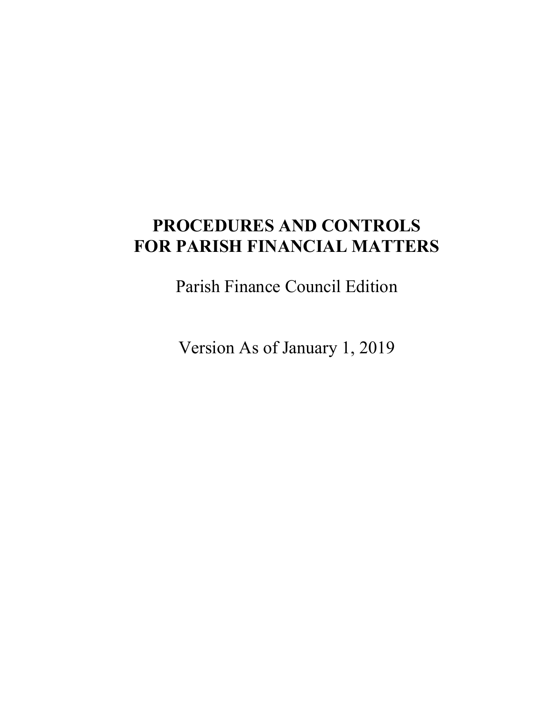## **PROCEDURES AND CONTROLS FOR PARISH FINANCIAL MATTERS**

Parish Finance Council Edition

Version As of January 1, 2019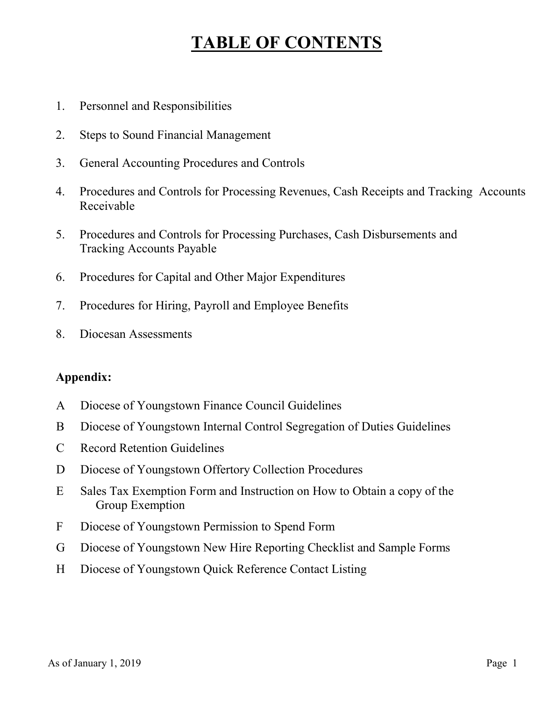## **TABLE OF CONTENTS**

- 1. Personnel and Responsibilities
- 2. Steps to Sound Financial Management
- 3. General Accounting Procedures and Controls
- 4. Procedures and Controls for Processing Revenues, Cash Receipts and Tracking Accounts Receivable
- 5. Procedures and Controls for Processing Purchases, Cash Disbursements and Tracking Accounts Payable
- 6. Procedures for Capital and Other Major Expenditures
- 7. Procedures for Hiring, Payroll and Employee Benefits
- 8. Diocesan Assessments

### **Appendix:**

- A Diocese of Youngstown Finance Council Guidelines
- B Diocese of Youngstown Internal Control Segregation of Duties Guidelines
- C Record Retention Guidelines
- D Diocese of Youngstown Offertory Collection Procedures
- E Sales Tax Exemption Form and Instruction on How to Obtain a copy of the Group Exemption
- F Diocese of Youngstown Permission to Spend Form
- G Diocese of Youngstown New Hire Reporting Checklist and Sample Forms
- H Diocese of Youngstown Quick Reference Contact Listing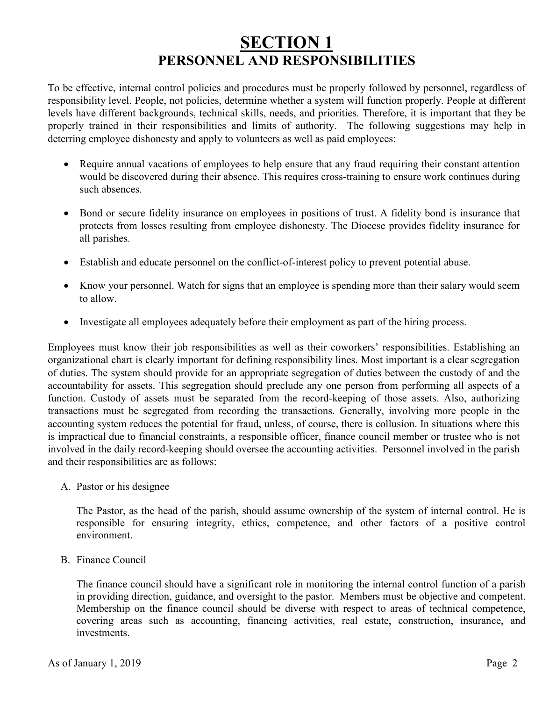## **SECTION 1 PERSONNEL AND RESPONSIBILITIES**

To be effective, internal control policies and procedures must be properly followed by personnel, regardless of responsibility level. People, not policies, determine whether a system will function properly. People at different levels have different backgrounds, technical skills, needs, and priorities. Therefore, it is important that they be properly trained in their responsibilities and limits of authority. The following suggestions may help in deterring employee dishonesty and apply to volunteers as well as paid employees:

- Require annual vacations of employees to help ensure that any fraud requiring their constant attention would be discovered during their absence. This requires cross-training to ensure work continues during such absences.
- Bond or secure fidelity insurance on employees in positions of trust. A fidelity bond is insurance that protects from losses resulting from employee dishonesty. The Diocese provides fidelity insurance for all parishes.
- Establish and educate personnel on the conflict-of-interest policy to prevent potential abuse.
- Know your personnel. Watch for signs that an employee is spending more than their salary would seem to allow.
- Investigate all employees adequately before their employment as part of the hiring process.

Employees must know their job responsibilities as well as their coworkers' responsibilities. Establishing an organizational chart is clearly important for defining responsibility lines. Most important is a clear segregation of duties. The system should provide for an appropriate segregation of duties between the custody of and the accountability for assets. This segregation should preclude any one person from performing all aspects of a function. Custody of assets must be separated from the record-keeping of those assets. Also, authorizing transactions must be segregated from recording the transactions. Generally, involving more people in the accounting system reduces the potential for fraud, unless, of course, there is collusion. In situations where this is impractical due to financial constraints, a responsible officer, finance council member or trustee who is not involved in the daily record-keeping should oversee the accounting activities. Personnel involved in the parish and their responsibilities are as follows:

A. Pastor or his designee

The Pastor, as the head of the parish, should assume ownership of the system of internal control. He is responsible for ensuring integrity, ethics, competence, and other factors of a positive control environment.

B. Finance Council

The finance council should have a significant role in monitoring the internal control function of a parish in providing direction, guidance, and oversight to the pastor. Members must be objective and competent. Membership on the finance council should be diverse with respect to areas of technical competence, covering areas such as accounting, financing activities, real estate, construction, insurance, and investments.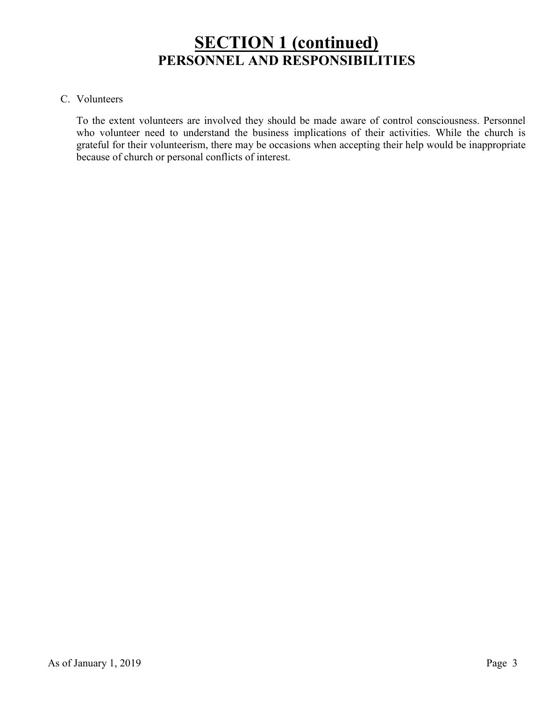## **SECTION 1 (continued) PERSONNEL AND RESPONSIBILITIES**

#### C. Volunteers

To the extent volunteers are involved they should be made aware of control consciousness. Personnel who volunteer need to understand the business implications of their activities. While the church is grateful for their volunteerism, there may be occasions when accepting their help would be inappropriate because of church or personal conflicts of interest.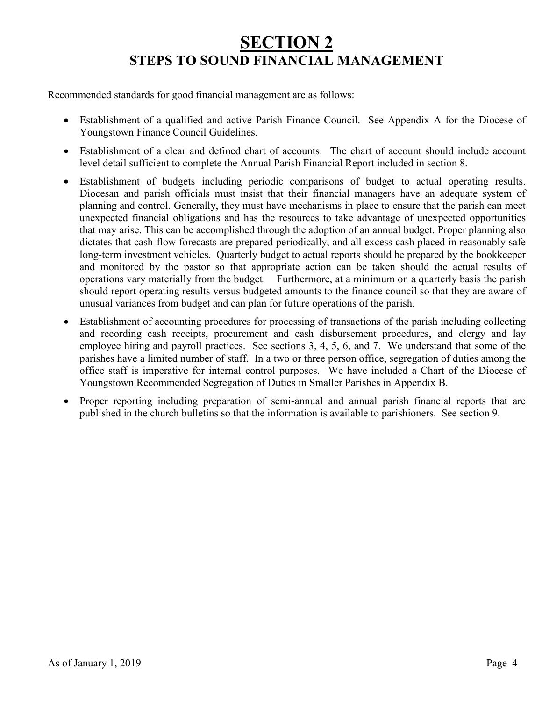## **SECTION 2 STEPS TO SOUND FINANCIAL MANAGEMENT**

Recommended standards for good financial management are as follows:

- Establishment of a qualified and active Parish Finance Council. See Appendix A for the Diocese of Youngstown Finance Council Guidelines.
- Establishment of a clear and defined chart of accounts. The chart of account should include account level detail sufficient to complete the Annual Parish Financial Report included in section 8.
- Establishment of budgets including periodic comparisons of budget to actual operating results. Diocesan and parish officials must insist that their financial managers have an adequate system of planning and control. Generally, they must have mechanisms in place to ensure that the parish can meet unexpected financial obligations and has the resources to take advantage of unexpected opportunities that may arise. This can be accomplished through the adoption of an annual budget. Proper planning also dictates that cash-flow forecasts are prepared periodically, and all excess cash placed in reasonably safe long-term investment vehicles. Quarterly budget to actual reports should be prepared by the bookkeeper and monitored by the pastor so that appropriate action can be taken should the actual results of operations vary materially from the budget. Furthermore, at a minimum on a quarterly basis the parish should report operating results versus budgeted amounts to the finance council so that they are aware of unusual variances from budget and can plan for future operations of the parish.
- Establishment of accounting procedures for processing of transactions of the parish including collecting and recording cash receipts, procurement and cash disbursement procedures, and clergy and lay employee hiring and payroll practices. See sections 3, 4, 5, 6, and 7. We understand that some of the parishes have a limited number of staff. In a two or three person office, segregation of duties among the office staff is imperative for internal control purposes. We have included a Chart of the Diocese of Youngstown Recommended Segregation of Duties in Smaller Parishes in Appendix B.
- Proper reporting including preparation of semi-annual and annual parish financial reports that are published in the church bulletins so that the information is available to parishioners. See section 9.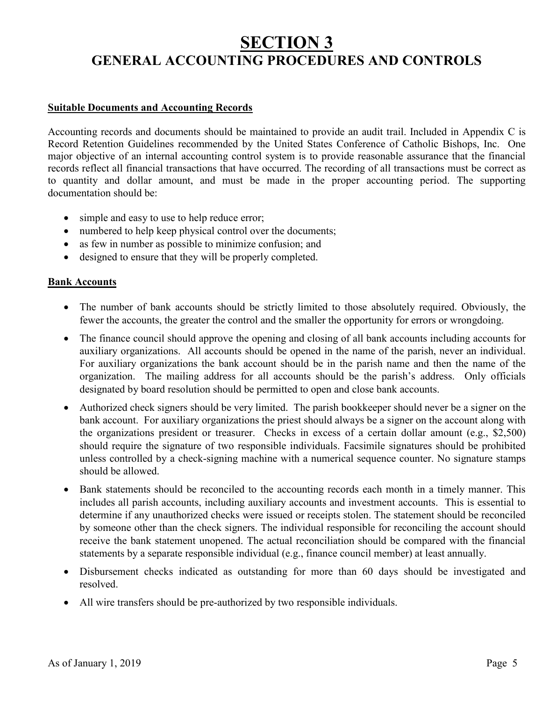## **SECTION 3 GENERAL ACCOUNTING PROCEDURES AND CONTROLS**

#### **Suitable Documents and Accounting Records**

Accounting records and documents should be maintained to provide an audit trail. Included in Appendix C is Record Retention Guidelines recommended by the United States Conference of Catholic Bishops, Inc. One major objective of an internal accounting control system is to provide reasonable assurance that the financial records reflect all financial transactions that have occurred. The recording of all transactions must be correct as to quantity and dollar amount, and must be made in the proper accounting period. The supporting documentation should be:

- simple and easy to use to help reduce error;
- numbered to help keep physical control over the documents;
- as few in number as possible to minimize confusion; and
- designed to ensure that they will be properly completed.

#### **Bank Accounts**

- The number of bank accounts should be strictly limited to those absolutely required. Obviously, the fewer the accounts, the greater the control and the smaller the opportunity for errors or wrongdoing.
- The finance council should approve the opening and closing of all bank accounts including accounts for auxiliary organizations. All accounts should be opened in the name of the parish, never an individual. For auxiliary organizations the bank account should be in the parish name and then the name of the organization. The mailing address for all accounts should be the parish's address. Only officials designated by board resolution should be permitted to open and close bank accounts.
- Authorized check signers should be very limited. The parish bookkeeper should never be a signer on the bank account. For auxiliary organizations the priest should always be a signer on the account along with the organizations president or treasurer. Checks in excess of a certain dollar amount (e.g., \$2,500) should require the signature of two responsible individuals. Facsimile signatures should be prohibited unless controlled by a check-signing machine with a numerical sequence counter. No signature stamps should be allowed.
- Bank statements should be reconciled to the accounting records each month in a timely manner. This includes all parish accounts, including auxiliary accounts and investment accounts. This is essential to determine if any unauthorized checks were issued or receipts stolen. The statement should be reconciled by someone other than the check signers. The individual responsible for reconciling the account should receive the bank statement unopened. The actual reconciliation should be compared with the financial statements by a separate responsible individual (e.g., finance council member) at least annually.
- Disbursement checks indicated as outstanding for more than 60 days should be investigated and resolved.
- All wire transfers should be pre-authorized by two responsible individuals.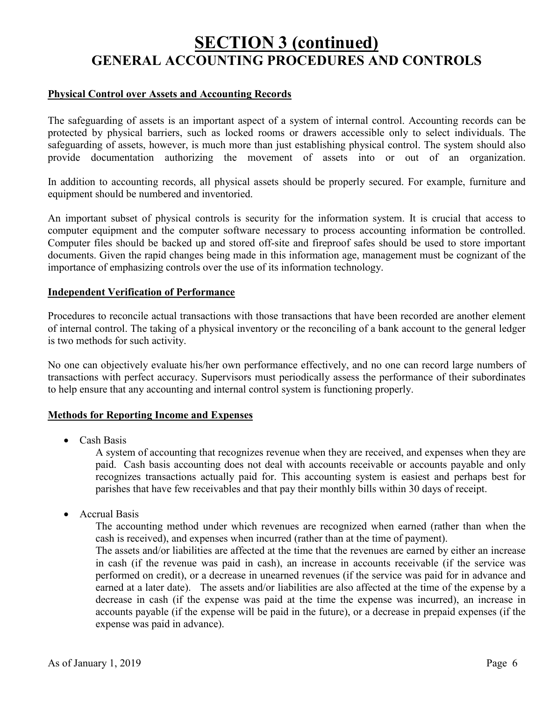## **SECTION 3 (continued) GENERAL ACCOUNTING PROCEDURES AND CONTROLS**

#### **Physical Control over Assets and Accounting Records**

The safeguarding of assets is an important aspect of a system of internal control. Accounting records can be protected by physical barriers, such as locked rooms or drawers accessible only to select individuals. The safeguarding of assets, however, is much more than just establishing physical control. The system should also provide documentation authorizing the movement of assets into or out of an organization.

In addition to accounting records, all physical assets should be properly secured. For example, furniture and equipment should be numbered and inventoried.

An important subset of physical controls is security for the information system. It is crucial that access to computer equipment and the computer software necessary to process accounting information be controlled. Computer files should be backed up and stored off-site and fireproof safes should be used to store important documents. Given the rapid changes being made in this information age, management must be cognizant of the importance of emphasizing controls over the use of its information technology.

#### **Independent Verification of Performance**

Procedures to reconcile actual transactions with those transactions that have been recorded are another element of internal control. The taking of a physical inventory or the reconciling of a bank account to the general ledger is two methods for such activity.

No one can objectively evaluate his/her own performance effectively, and no one can record large numbers of transactions with perfect accuracy. Supervisors must periodically assess the performance of their subordinates to help ensure that any accounting and internal control system is functioning properly.

#### **Methods for Reporting Income and Expenses**

• Cash Basis

A system of [accounting](http://financial-dictionary.thefreedictionary.com/Accounting) that recognizes [revenue](http://financial-dictionary.thefreedictionary.com/Revenue) when they are received, and [expenses](http://financial-dictionary.thefreedictionary.com/Expenses) when they are paid. Cash basis accounting does not deal with [accounts receivable](http://financial-dictionary.thefreedictionary.com/Accounts+Receivable) or [accounts payable](http://financial-dictionary.thefreedictionary.com/Accounts+Payable) and only recognizes [transactions](http://financial-dictionary.thefreedictionary.com/Transactions) actually paid for. This accounting system is easiest and perhaps best for parishes that have few receivables and that pay their monthly bills within 30 days of receipt.

• Accrual Basis

The accounting method under which revenues are recognized when earned (rather than when the cash is received), and expenses when incurred (rather than at the time of payment).

The assets and/or liabilities are affected at the time that the revenues are earned by either an increase in cash (if the revenue was paid in cash), an increase in accounts receivable (if the service was performed on credit), or a decrease in unearned revenues (if the service was paid for in advance and earned at a later date). The assets and/or liabilities are also affected at the time of the expense by a decrease in cash (if the expense was paid at the time the expense was incurred), an increase in accounts payable (if the expense will be paid in the future), or a decrease in prepaid expenses (if the expense was paid in advance).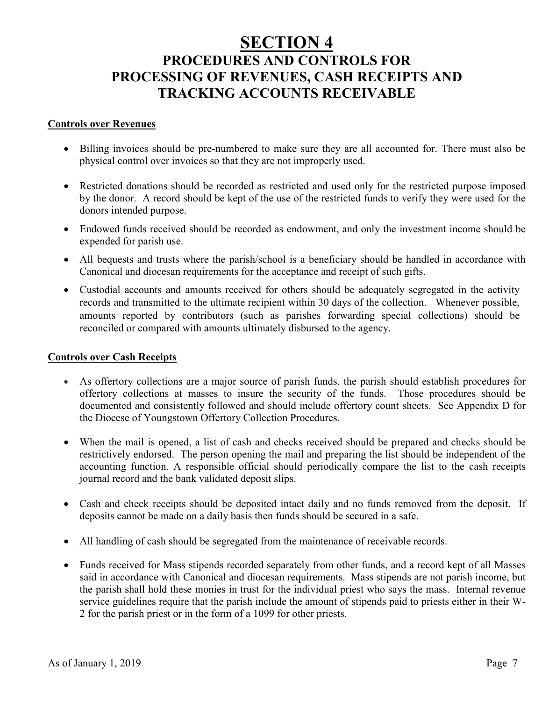## **SECTION 4 PROCEDURES AND CONTROLS FOR PROCESSING OF REVENUES, CASH RECEIPTS AND TRACKING ACCOUNTS RECEIVABLE**

#### **Controls over Revenues**

- Billing invoices should be pre-numbered to make sure they are all accounted for. There must also be physical control over invoices so that they are not improperly used.
- Restricted donations should be recorded as restricted and used only for the restricted purpose imposed by the donor. A record should be kept of the use of the restricted funds to verify they were used for the donors intended purpose.
- Endowed funds received should be recorded as endowment, and only the investment income should be expended for parish use.
- All bequests and trusts where the parish/school is a beneficiary should be handled in accordance with Canonical and diocesan requirements for the acceptance and receipt of such gifts.
- Custodial accounts and amounts received for others should be adequately segregated in the activity records and transmitted to the ultimate recipient within 30 days of the collection. Whenever possible, amounts reported by contributors (such as parishes forwarding special collections) should be reconciled or compared with amounts ultimately disbursed to the agency.

#### **Controls over Cash Receipts**

- As offertory collections are a major source of parish funds, the parish should establish procedures for offertory collections at masses to insure the security of the funds. Those procedures should be documented and consistently followed and should include offertory count sheets. See Appendix D for the Diocese of Youngstown Offertory Collection Procedures.
- When the mail is opened, a list of cash and checks received should be prepared and checks should be restrictively endorsed. The person opening the mail and preparing the list should be independent of the accounting function. A responsible official should periodically compare the list to the cash receipts journal record and the bank validated deposit slips.
- Cash and check receipts should be deposited intact daily and no funds removed from the deposit. If deposits cannot be made on a daily basis then funds should be secured in a safe.
- All handling of cash should be segregated from the maintenance of receivable records.
- Funds received for Mass stipends recorded separately from other funds, and a record kept of all Masses said in accordance with Canonical and diocesan requirements. Mass stipends are not parish income, but the parish shall hold these monies in trust for the individual priest who says the mass. Internal revenue service guidelines require that the parish include the amount of stipends paid to priests either in their W-2 for the parish priest or in the form of a 1099 for other priests.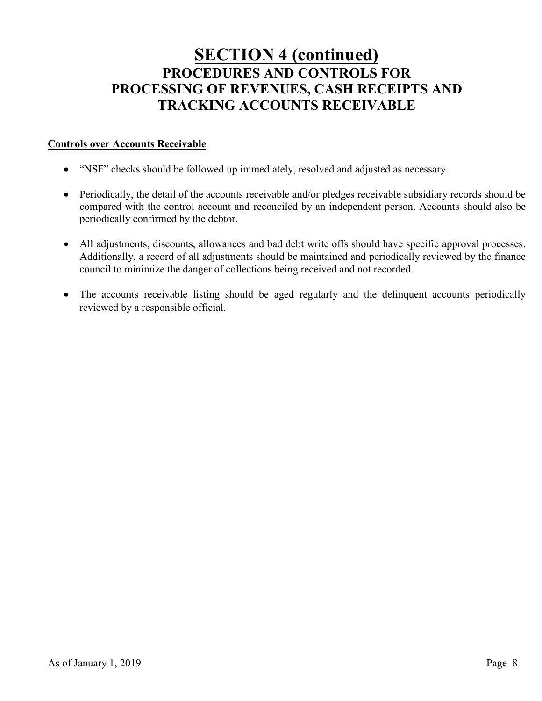## **SECTION 4 (continued) PROCEDURES AND CONTROLS FOR PROCESSING OF REVENUES, CASH RECEIPTS AND TRACKING ACCOUNTS RECEIVABLE**

#### **Controls over Accounts Receivable**

- "NSF" checks should be followed up immediately, resolved and adjusted as necessary.
- Periodically, the detail of the accounts receivable and/or pledges receivable subsidiary records should be compared with the control account and reconciled by an independent person. Accounts should also be periodically confirmed by the debtor.
- All adjustments, discounts, allowances and bad debt write offs should have specific approval processes. Additionally, a record of all adjustments should be maintained and periodically reviewed by the finance council to minimize the danger of collections being received and not recorded.
- The accounts receivable listing should be aged regularly and the delinquent accounts periodically reviewed by a responsible official.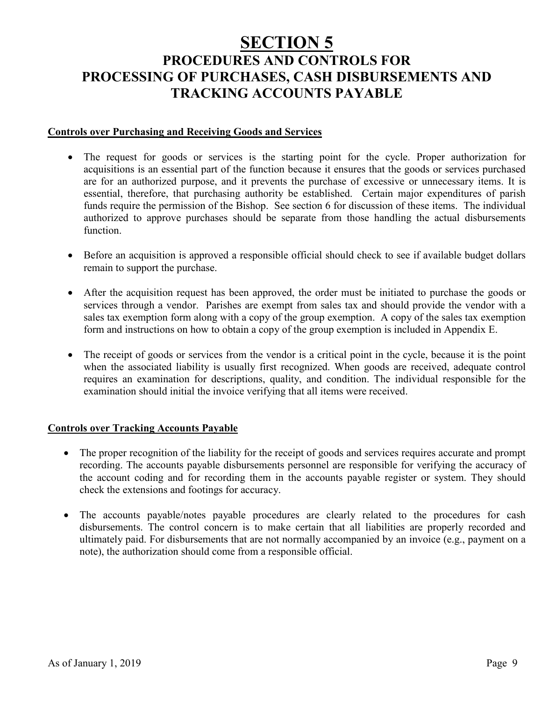## **SECTION 5 PROCEDURES AND CONTROLS FOR PROCESSING OF PURCHASES, CASH DISBURSEMENTS AND TRACKING ACCOUNTS PAYABLE**

#### **Controls over Purchasing and Receiving Goods and Services**

- The request for goods or services is the starting point for the cycle. Proper authorization for acquisitions is an essential part of the function because it ensures that the goods or services purchased are for an authorized purpose, and it prevents the purchase of excessive or unnecessary items. It is essential, therefore, that purchasing authority be established. Certain major expenditures of parish funds require the permission of the Bishop. See section 6 for discussion of these items. The individual authorized to approve purchases should be separate from those handling the actual disbursements function.
- Before an acquisition is approved a responsible official should check to see if available budget dollars remain to support the purchase.
- After the acquisition request has been approved, the order must be initiated to purchase the goods or services through a vendor. Parishes are exempt from sales tax and should provide the vendor with a sales tax exemption form along with a copy of the group exemption. A copy of the sales tax exemption form and instructions on how to obtain a copy of the group exemption is included in Appendix E.
- The receipt of goods or services from the vendor is a critical point in the cycle, because it is the point when the associated liability is usually first recognized. When goods are received, adequate control requires an examination for descriptions, quality, and condition. The individual responsible for the examination should initial the invoice verifying that all items were received.

#### **Controls over Tracking Accounts Payable**

- The proper recognition of the liability for the receipt of goods and services requires accurate and prompt recording. The accounts payable disbursements personnel are responsible for verifying the accuracy of the account coding and for recording them in the accounts payable register or system. They should check the extensions and footings for accuracy.
- The accounts payable/notes payable procedures are clearly related to the procedures for cash disbursements. The control concern is to make certain that all liabilities are properly recorded and ultimately paid. For disbursements that are not normally accompanied by an invoice (e.g., payment on a note), the authorization should come from a responsible official.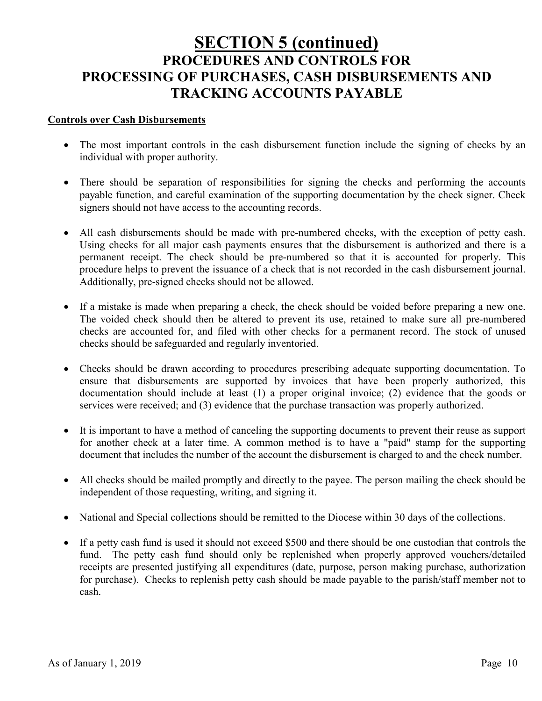## **SECTION 5 (continued) PROCEDURES AND CONTROLS FOR PROCESSING OF PURCHASES, CASH DISBURSEMENTS AND TRACKING ACCOUNTS PAYABLE**

#### **Controls over Cash Disbursements**

- The most important controls in the cash disbursement function include the signing of checks by an individual with proper authority.
- There should be separation of responsibilities for signing the checks and performing the accounts payable function, and careful examination of the supporting documentation by the check signer. Check signers should not have access to the accounting records.
- All cash disbursements should be made with pre-numbered checks, with the exception of petty cash. Using checks for all major cash payments ensures that the disbursement is authorized and there is a permanent receipt. The check should be pre-numbered so that it is accounted for properly. This procedure helps to prevent the issuance of a check that is not recorded in the cash disbursement journal. Additionally, pre-signed checks should not be allowed.
- If a mistake is made when preparing a check, the check should be voided before preparing a new one. The voided check should then be altered to prevent its use, retained to make sure all pre-numbered checks are accounted for, and filed with other checks for a permanent record. The stock of unused checks should be safeguarded and regularly inventoried.
- Checks should be drawn according to procedures prescribing adequate supporting documentation. To ensure that disbursements are supported by invoices that have been properly authorized, this documentation should include at least (1) a proper original invoice; (2) evidence that the goods or services were received; and (3) evidence that the purchase transaction was properly authorized.
- It is important to have a method of canceling the supporting documents to prevent their reuse as support for another check at a later time. A common method is to have a "paid" stamp for the supporting document that includes the number of the account the disbursement is charged to and the check number.
- All checks should be mailed promptly and directly to the payee. The person mailing the check should be independent of those requesting, writing, and signing it.
- National and Special collections should be remitted to the Diocese within 30 days of the collections.
- If a petty cash fund is used it should not exceed \$500 and there should be one custodian that controls the fund. The petty cash fund should only be replenished when properly approved vouchers/detailed receipts are presented justifying all expenditures (date, purpose, person making purchase, authorization for purchase). Checks to replenish petty cash should be made payable to the parish/staff member not to cash.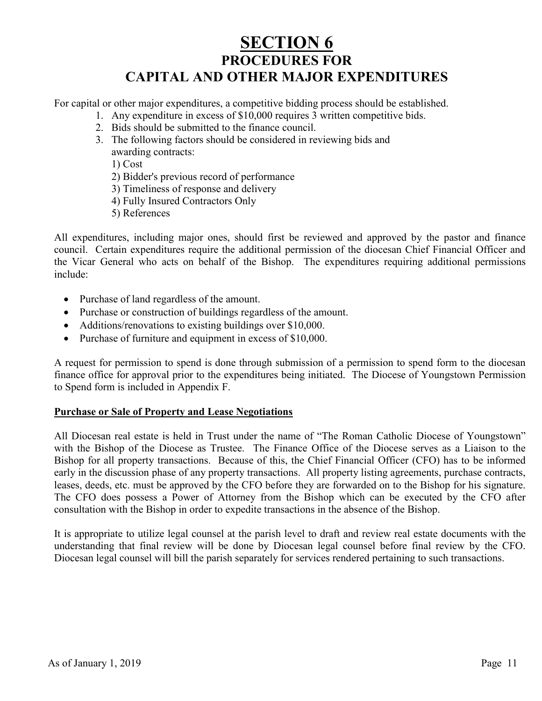## **SECTION 6 PROCEDURES FOR CAPITAL AND OTHER MAJOR EXPENDITURES**

For capital or other major expenditures, a competitive bidding process should be established.

- 1. Any expenditure in excess of \$10,000 requires 3 written competitive bids.
- 2. Bids should be submitted to the finance council.
- 3. The following factors should be considered in reviewing bids and awarding contracts:

1) Cost

- 2) Bidder's previous record of performance
- 3) Timeliness of response and delivery
- 4) Fully Insured Contractors Only
- 5) References

All expenditures, including major ones, should first be reviewed and approved by the pastor and finance council. Certain expenditures require the additional permission of the diocesan Chief Financial Officer and the Vicar General who acts on behalf of the Bishop. The expenditures requiring additional permissions include:

- Purchase of land regardless of the amount.
- Purchase or construction of buildings regardless of the amount.
- Additions/renovations to existing buildings over \$10,000.
- Purchase of furniture and equipment in excess of \$10,000.

A request for permission to spend is done through submission of a permission to spend form to the diocesan finance office for approval prior to the expenditures being initiated. The Diocese of Youngstown Permission to Spend form is included in Appendix F.

#### **Purchase or Sale of Property and Lease Negotiations**

All Diocesan real estate is held in Trust under the name of "The Roman Catholic Diocese of Youngstown" with the Bishop of the Diocese as Trustee. The Finance Office of the Diocese serves as a Liaison to the Bishop for all property transactions. Because of this, the Chief Financial Officer (CFO) has to be informed early in the discussion phase of any property transactions. All property listing agreements, purchase contracts, leases, deeds, etc. must be approved by the CFO before they are forwarded on to the Bishop for his signature. The CFO does possess a Power of Attorney from the Bishop which can be executed by the CFO after consultation with the Bishop in order to expedite transactions in the absence of the Bishop.

It is appropriate to utilize legal counsel at the parish level to draft and review real estate documents with the understanding that final review will be done by Diocesan legal counsel before final review by the CFO. Diocesan legal counsel will bill the parish separately for services rendered pertaining to such transactions.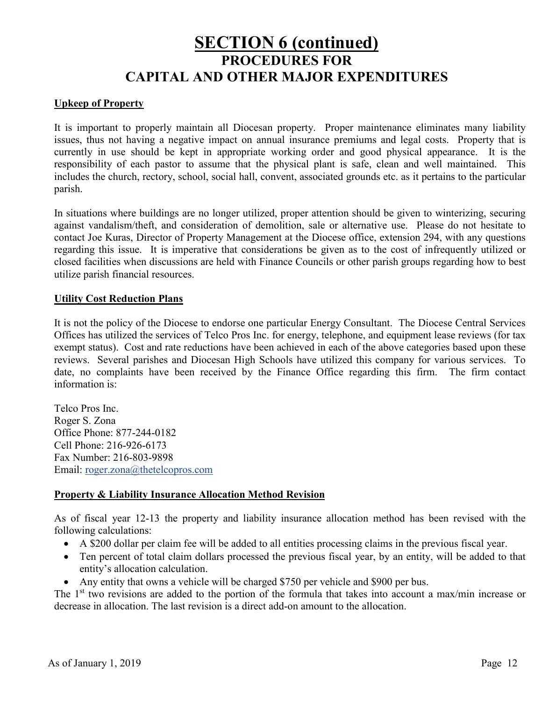## **SECTION 6 (continued) PROCEDURES FOR CAPITAL AND OTHER MAJOR EXPENDITURES**

#### **Upkeep of Property**

It is important to properly maintain all Diocesan property. Proper maintenance eliminates many liability issues, thus not having a negative impact on annual insurance premiums and legal costs. Property that is currently in use should be kept in appropriate working order and good physical appearance. It is the responsibility of each pastor to assume that the physical plant is safe, clean and well maintained. This includes the church, rectory, school, social hall, convent, associated grounds etc. as it pertains to the particular parish.

In situations where buildings are no longer utilized, proper attention should be given to winterizing, securing against vandalism/theft, and consideration of demolition, sale or alternative use. Please do not hesitate to contact Joe Kuras, Director of Property Management at the Diocese office, extension 294, with any questions regarding this issue. It is imperative that considerations be given as to the cost of infrequently utilized or closed facilities when discussions are held with Finance Councils or other parish groups regarding how to best utilize parish financial resources.

#### **Utility Cost Reduction Plans**

It is not the policy of the Diocese to endorse one particular Energy Consultant. The Diocese Central Services Offices has utilized the services of Telco Pros Inc. for energy, telephone, and equipment lease reviews (for tax exempt status). Cost and rate reductions have been achieved in each of the above categories based upon these reviews. Several parishes and Diocesan High Schools have utilized this company for various services. To date, no complaints have been received by the Finance Office regarding this firm. The firm contact information is:

Telco Pros Inc. Roger S. Zona Office Phone: 877-244-0182 Cell Phone: 216-926-6173 Fax Number: 216-803-9898 Email: [roger.zona@thetelcopros.com](mailto:roger.zona@thetelcopros.com)

#### **Property & Liability Insurance Allocation Method Revision**

As of fiscal year 12-13 the property and liability insurance allocation method has been revised with the following calculations:

- A \$200 dollar per claim fee will be added to all entities processing claims in the previous fiscal year.
- Ten percent of total claim dollars processed the previous fiscal year, by an entity, will be added to that entity's allocation calculation.
- Any entity that owns a vehicle will be charged \$750 per vehicle and \$900 per bus.

The 1<sup>st</sup> two revisions are added to the portion of the formula that takes into account a max/min increase or decrease in allocation. The last revision is a direct add-on amount to the allocation.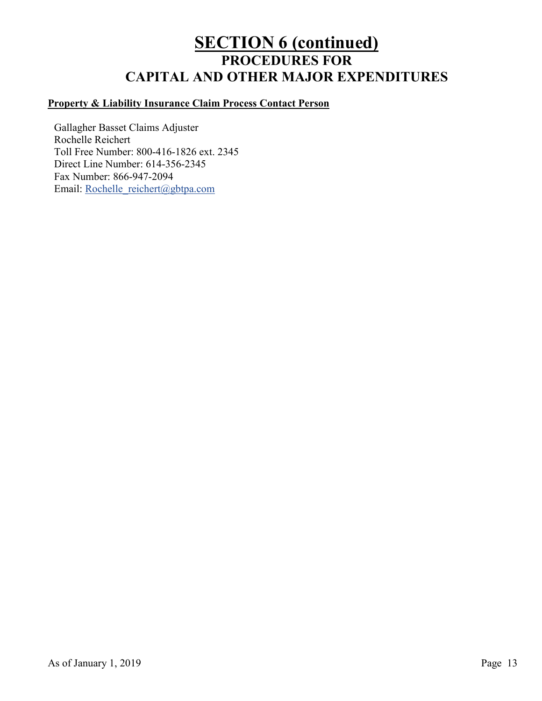## **SECTION 6 (continued) PROCEDURES FOR CAPITAL AND OTHER MAJOR EXPENDITURES**

### **Property & Liability Insurance Claim Process Contact Person**

Gallagher Basset Claims Adjuster Rochelle Reichert Toll Free Number: 800-416-1826 ext. 2345 Direct Line Number: 614-356-2345 Fax Number: 866-947-2094 Email: Rochelle reichert@gbtpa.com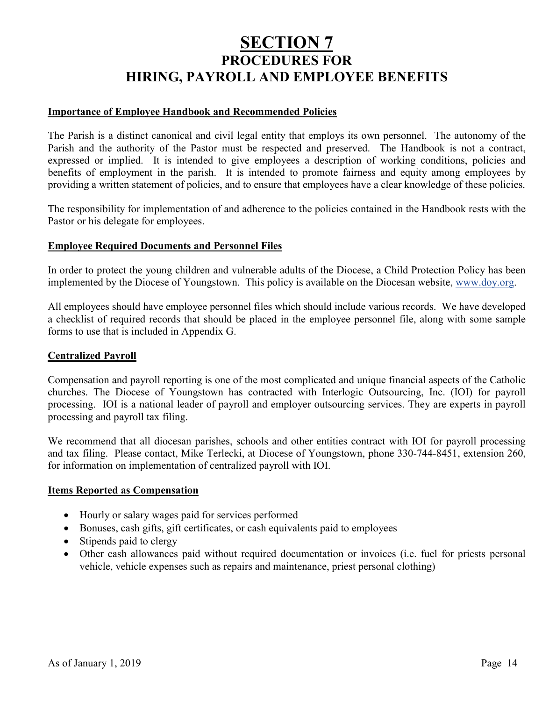## **SECTION 7 PROCEDURES FOR HIRING, PAYROLL AND EMPLOYEE BENEFITS**

#### **Importance of Employee Handbook and Recommended Policies**

The Parish is a distinct canonical and civil legal entity that employs its own personnel. The autonomy of the Parish and the authority of the Pastor must be respected and preserved. The Handbook is not a contract, expressed or implied. It is intended to give employees a description of working conditions, policies and benefits of employment in the parish. It is intended to promote fairness and equity among employees by providing a written statement of policies, and to ensure that employees have a clear knowledge of these policies.

The responsibility for implementation of and adherence to the policies contained in the Handbook rests with the Pastor or his delegate for employees.

#### **Employee Required Documents and Personnel Files**

In order to protect the young children and vulnerable adults of the Diocese, a Child Protection Policy has been implemented by the Diocese of Youngstown. This policy is available on the Diocesan website, [www.doy.org.](http://www.doy.org/)

All employees should have employee personnel files which should include various records. We have developed a checklist of required records that should be placed in the employee personnel file, along with some sample forms to use that is included in Appendix G.

#### **Centralized Payroll**

Compensation and payroll reporting is one of the most complicated and unique financial aspects of the Catholic churches. The Diocese of Youngstown has contracted with Interlogic Outsourcing, Inc. (IOI) for payroll processing. IOI is a national leader of payroll and employer outsourcing services. They are experts in payroll processing and payroll tax filing.

We recommend that all diocesan parishes, schools and other entities contract with IOI for payroll processing and tax filing. Please contact, Mike Terlecki, at Diocese of Youngstown, phone 330-744-8451, extension 260, for information on implementation of centralized payroll with IOI.

#### **Items Reported as Compensation**

- Hourly or salary wages paid for services performed
- Bonuses, cash gifts, gift certificates, or cash equivalents paid to employees
- Stipends paid to clergy
- Other cash allowances paid without required documentation or invoices (i.e. fuel for priests personal vehicle, vehicle expenses such as repairs and maintenance, priest personal clothing)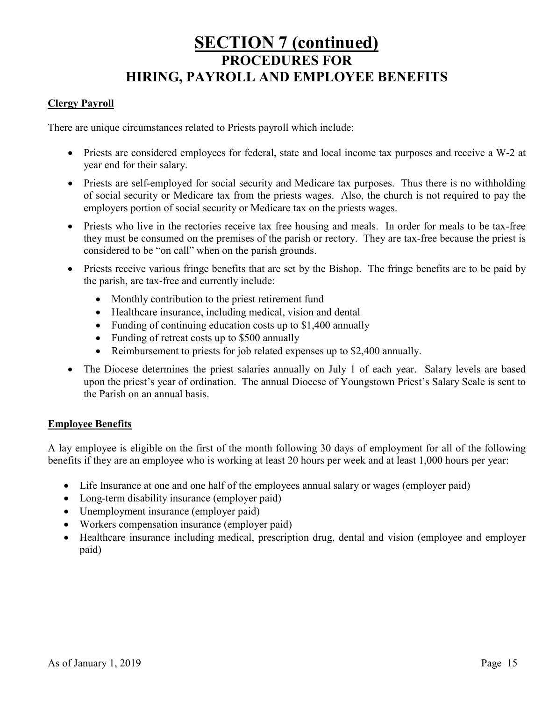## **SECTION 7 (continued) PROCEDURES FOR HIRING, PAYROLL AND EMPLOYEE BENEFITS**

#### **Clergy Payroll**

There are unique circumstances related to Priests payroll which include:

- Priests are considered employees for federal, state and local income tax purposes and receive a W-2 at year end for their salary.
- Priests are self-employed for social security and Medicare tax purposes. Thus there is no withholding of social security or Medicare tax from the priests wages. Also, the church is not required to pay the employers portion of social security or Medicare tax on the priests wages.
- Priests who live in the rectories receive tax free housing and meals. In order for meals to be tax-free they must be consumed on the premises of the parish or rectory. They are tax-free because the priest is considered to be "on call" when on the parish grounds.
- Priests receive various fringe benefits that are set by the Bishop. The fringe benefits are to be paid by the parish, are tax-free and currently include:
	- Monthly contribution to the priest retirement fund
	- Healthcare insurance, including medical, vision and dental
	- Funding of continuing education costs up to \$1,400 annually
	- Funding of retreat costs up to \$500 annually
	- Reimbursement to priests for job related expenses up to \$2,400 annually.
- The Diocese determines the priest salaries annually on July 1 of each year. Salary levels are based upon the priest's year of ordination. The annual Diocese of Youngstown Priest's Salary Scale is sent to the Parish on an annual basis.

#### **Employee Benefits**

A lay employee is eligible on the first of the month following 30 days of employment for all of the following benefits if they are an employee who is working at least 20 hours per week and at least 1,000 hours per year:

- Life Insurance at one and one half of the employees annual salary or wages (employer paid)
- Long-term disability insurance (employer paid)
- Unemployment insurance (employer paid)
- Workers compensation insurance (employer paid)
- Healthcare insurance including medical, prescription drug, dental and vision (employee and employer paid)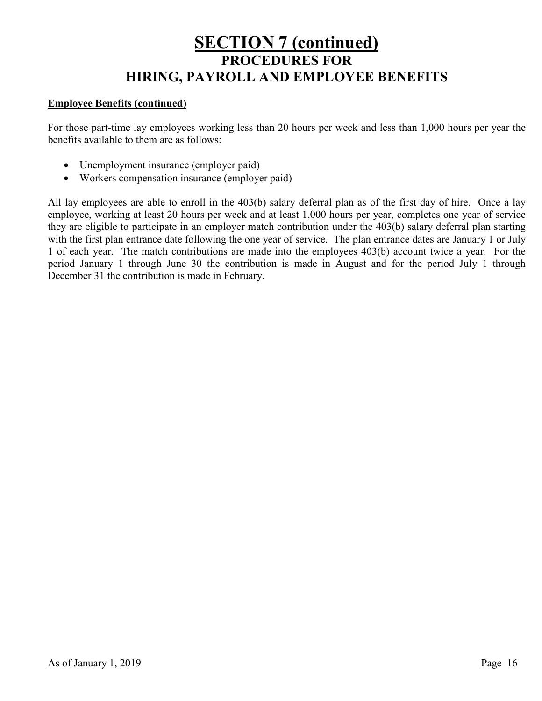## **SECTION 7 (continued) PROCEDURES FOR HIRING, PAYROLL AND EMPLOYEE BENEFITS**

#### **Employee Benefits (continued)**

For those part-time lay employees working less than 20 hours per week and less than 1,000 hours per year the benefits available to them are as follows:

- Unemployment insurance (employer paid)
- Workers compensation insurance (employer paid)

All lay employees are able to enroll in the 403(b) salary deferral plan as of the first day of hire. Once a lay employee, working at least 20 hours per week and at least 1,000 hours per year, completes one year of service they are eligible to participate in an employer match contribution under the 403(b) salary deferral plan starting with the first plan entrance date following the one year of service. The plan entrance dates are January 1 or July 1 of each year. The match contributions are made into the employees 403(b) account twice a year. For the period January 1 through June 30 the contribution is made in August and for the period July 1 through December 31 the contribution is made in February.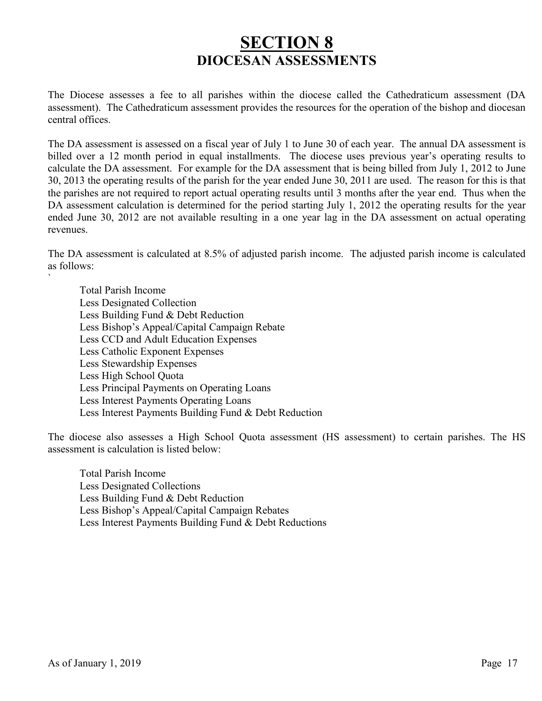## **SECTION 8 DIOCESAN ASSESSMENTS**

The Diocese assesses a fee to all parishes within the diocese called the Cathedraticum assessment (DA assessment). The Cathedraticum assessment provides the resources for the operation of the bishop and diocesan central offices.

The DA assessment is assessed on a fiscal year of July 1 to June 30 of each year. The annual DA assessment is billed over a 12 month period in equal installments. The diocese uses previous year's operating results to calculate the DA assessment. For example for the DA assessment that is being billed from July 1, 2012 to June 30, 2013 the operating results of the parish for the year ended June 30, 2011 are used. The reason for this is that the parishes are not required to report actual operating results until 3 months after the year end. Thus when the DA assessment calculation is determined for the period starting July 1, 2012 the operating results for the year ended June 30, 2012 are not available resulting in a one year lag in the DA assessment on actual operating revenues.

The DA assessment is calculated at 8.5% of adjusted parish income. The adjusted parish income is calculated as follows:

Total Parish Income Less Designated Collection Less Building Fund & Debt Reduction Less Bishop's Appeal/Capital Campaign Rebate Less CCD and Adult Education Expenses Less Catholic Exponent Expenses Less Stewardship Expenses Less High School Quota Less Principal Payments on Operating Loans Less Interest Payments Operating Loans Less Interest Payments Building Fund & Debt Reduction

The diocese also assesses a High School Quota assessment (HS assessment) to certain parishes. The HS assessment is calculation is listed below:

Total Parish Income Less Designated Collections Less Building Fund & Debt Reduction Less Bishop's Appeal/Capital Campaign Rebates Less Interest Payments Building Fund & Debt Reductions

`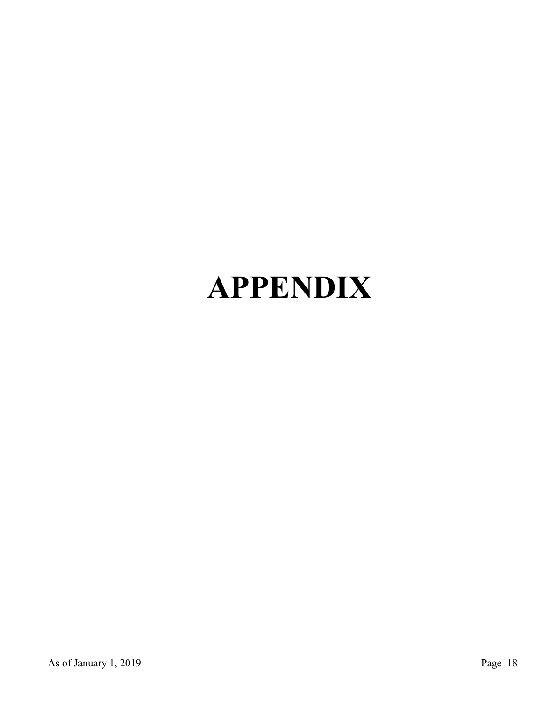# **APPENDIX**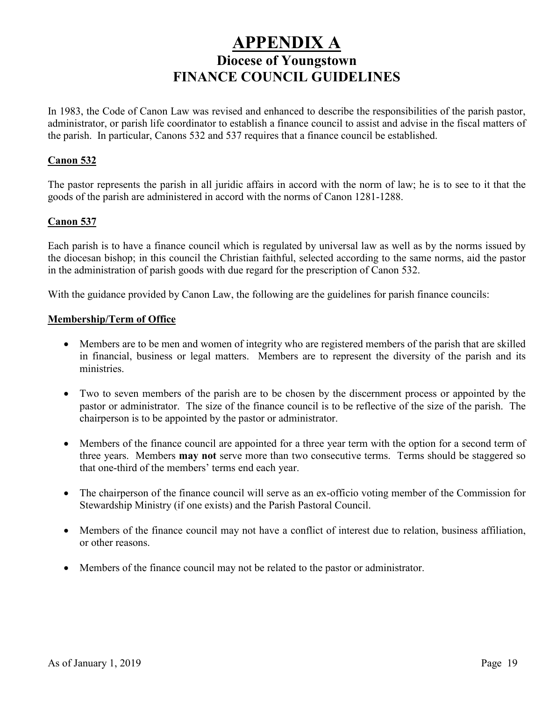## **APPENDIX A Diocese of Youngstown FINANCE COUNCIL GUIDELINES**

In 1983, the Code of Canon Law was revised and enhanced to describe the responsibilities of the parish pastor, administrator, or parish life coordinator to establish a finance council to assist and advise in the fiscal matters of the parish. In particular, Canons 532 and 537 requires that a finance council be established.

#### **Canon 532**

The pastor represents the parish in all juridic affairs in accord with the norm of law; he is to see to it that the goods of the parish are administered in accord with the norms of Canon 1281-1288.

#### **Canon 537**

Each parish is to have a finance council which is regulated by universal law as well as by the norms issued by the diocesan bishop; in this council the Christian faithful, selected according to the same norms, aid the pastor in the administration of parish goods with due regard for the prescription of Canon 532.

With the guidance provided by Canon Law, the following are the guidelines for parish finance councils:

#### **Membership/Term of Office**

- Members are to be men and women of integrity who are registered members of the parish that are skilled in financial, business or legal matters. Members are to represent the diversity of the parish and its ministries.
- Two to seven members of the parish are to be chosen by the discernment process or appointed by the pastor or administrator. The size of the finance council is to be reflective of the size of the parish. The chairperson is to be appointed by the pastor or administrator.
- Members of the finance council are appointed for a three year term with the option for a second term of three years. Members **may not** serve more than two consecutive terms. Terms should be staggered so that one-third of the members' terms end each year.
- The chairperson of the finance council will serve as an ex-officio voting member of the Commission for Stewardship Ministry (if one exists) and the Parish Pastoral Council.
- Members of the finance council may not have a conflict of interest due to relation, business affiliation, or other reasons.
- Members of the finance council may not be related to the pastor or administrator.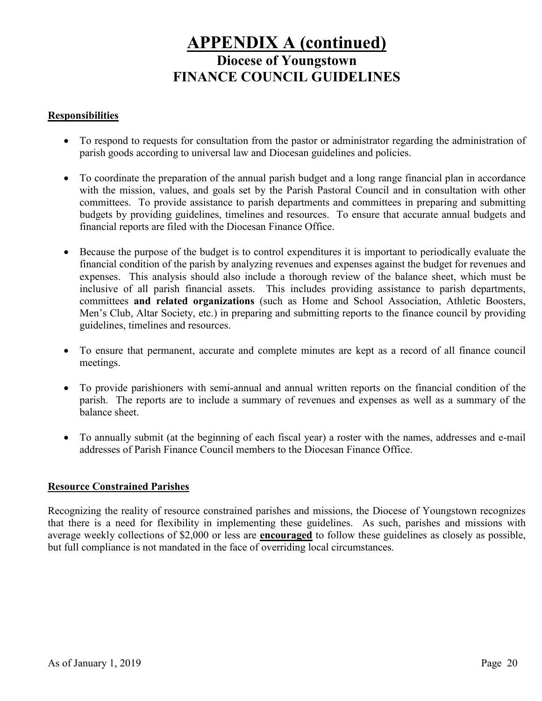## **APPENDIX A (continued) Diocese of Youngstown**

## **FINANCE COUNCIL GUIDELINES**

#### **Responsibilities**

- To respond to requests for consultation from the pastor or administrator regarding the administration of parish goods according to universal law and Diocesan guidelines and policies.
- To coordinate the preparation of the annual parish budget and a long range financial plan in accordance with the mission, values, and goals set by the Parish Pastoral Council and in consultation with other committees. To provide assistance to parish departments and committees in preparing and submitting budgets by providing guidelines, timelines and resources. To ensure that accurate annual budgets and financial reports are filed with the Diocesan Finance Office.
- Because the purpose of the budget is to control expenditures it is important to periodically evaluate the financial condition of the parish by analyzing revenues and expenses against the budget for revenues and expenses. This analysis should also include a thorough review of the balance sheet, which must be inclusive of all parish financial assets. This includes providing assistance to parish departments, committees **and related organizations** (such as Home and School Association, Athletic Boosters, Men's Club, Altar Society, etc.) in preparing and submitting reports to the finance council by providing guidelines, timelines and resources.
- To ensure that permanent, accurate and complete minutes are kept as a record of all finance council meetings.
- To provide parishioners with semi-annual and annual written reports on the financial condition of the parish. The reports are to include a summary of revenues and expenses as well as a summary of the balance sheet.
- To annually submit (at the beginning of each fiscal year) a roster with the names, addresses and e-mail addresses of Parish Finance Council members to the Diocesan Finance Office.

#### **Resource Constrained Parishes**

Recognizing the reality of resource constrained parishes and missions, the Diocese of Youngstown recognizes that there is a need for flexibility in implementing these guidelines. As such, parishes and missions with average weekly collections of \$2,000 or less are **encouraged** to follow these guidelines as closely as possible, but full compliance is not mandated in the face of overriding local circumstances.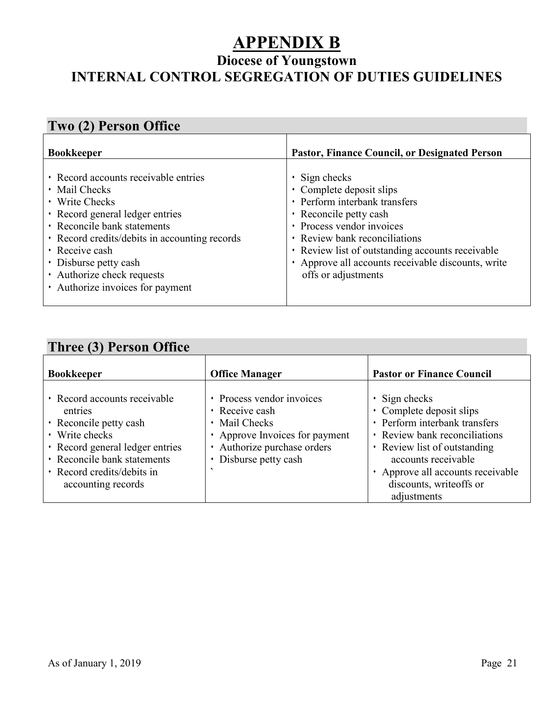## **APPENDIX B**

## **Diocese of Youngstown INTERNAL CONTROL SEGREGATION OF DUTIES GUIDELINES**

## **Two (2) Person Office**

| <b>Bookkeeper</b>                                                                                                                                                                                                                                                                                             | <b>Pastor, Finance Council, or Designated Person</b>                                                                                                                                                                                                                                                      |
|---------------------------------------------------------------------------------------------------------------------------------------------------------------------------------------------------------------------------------------------------------------------------------------------------------------|-----------------------------------------------------------------------------------------------------------------------------------------------------------------------------------------------------------------------------------------------------------------------------------------------------------|
| • Record accounts receivable entries<br>$\cdot$ Mail Checks<br>• Write Checks<br>• Record general ledger entries<br>· Reconcile bank statements<br>• Record credits/debits in accounting records<br>• Receive cash<br>• Disburse petty cash<br>• Authorize check requests<br>• Authorize invoices for payment | $\cdot$ Sign checks<br>• Complete deposit slips<br>• Perform interbank transfers<br>• Reconcile petty cash<br>• Process vendor invoices<br>· Review bank reconciliations<br>• Review list of outstanding accounts receivable<br>• Approve all accounts receivable discounts, write<br>offs or adjustments |

## **Three (3) Person Office**

| <b>Bookkeeper</b>                                                                                                                                                                                         | <b>Office Manager</b>                                                                                                                                  | <b>Pastor or Finance Council</b>                                                                                                                                                                                                                      |
|-----------------------------------------------------------------------------------------------------------------------------------------------------------------------------------------------------------|--------------------------------------------------------------------------------------------------------------------------------------------------------|-------------------------------------------------------------------------------------------------------------------------------------------------------------------------------------------------------------------------------------------------------|
| • Record accounts receivable<br>entries<br>• Reconcile petty cash<br>• Write checks<br>• Record general ledger entries<br>• Reconcile bank statements<br>• Record credits/debits in<br>accounting records | • Process vendor invoices<br>· Receive cash<br>• Mail Checks<br>• Approve Invoices for payment<br>• Authorize purchase orders<br>• Disburse petty cash | $\cdot$ Sign checks<br>• Complete deposit slips<br>• Perform interbank transfers<br>• Review bank reconciliations<br>• Review list of outstanding<br>accounts receivable<br>Approve all accounts receivable<br>discounts, writeoffs or<br>adjustments |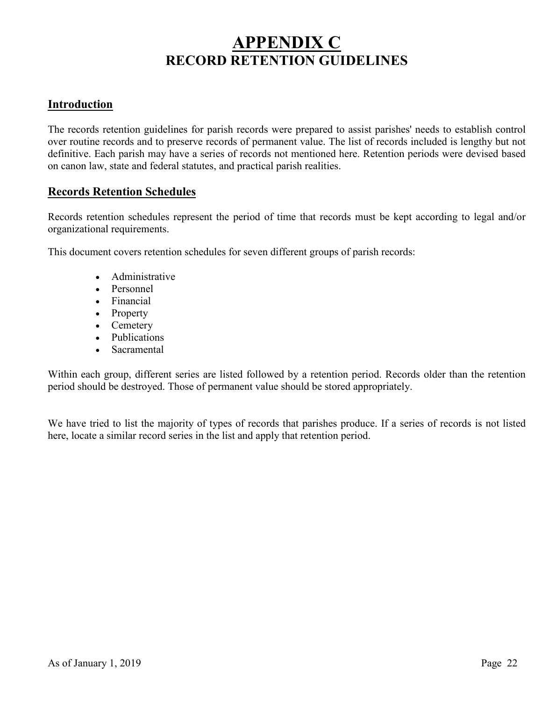## **APPENDIX C RECORD RETENTION GUIDELINES**

### **Introduction**

The records retention guidelines for parish records were prepared to assist parishes' needs to establish control over routine records and to preserve records of permanent value. The list of records included is lengthy but not definitive. Each parish may have a series of records not mentioned here. Retention periods were devised based on canon law, state and federal statutes, and practical parish realities.

#### **Records Retention Schedules**

Records retention schedules represent the period of time that records must be kept according to legal and/or organizational requirements.

This document covers retention schedules for seven different groups of parish records:

- Administrative
- Personnel
- Financial
- Property
- Cemetery
- Publications
- Sacramental

Within each group, different series are listed followed by a retention period. Records older than the retention period should be destroyed. Those of permanent value should be stored appropriately.

We have tried to list the majority of types of records that parishes produce. If a series of records is not listed here, locate a similar record series in the list and apply that retention period.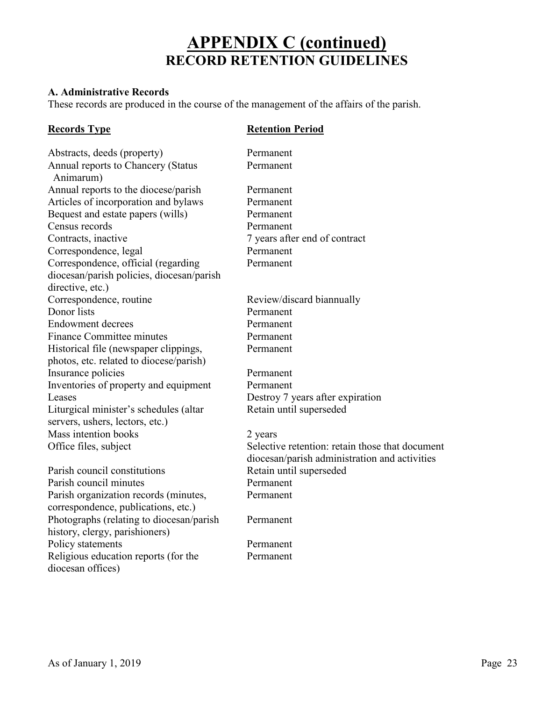#### **A. Administrative Records**

These records are produced in the course of the management of the affairs of the parish.

#### **Records Type Retention Period**

Abstracts, deeds (property) Permanent Annual reports to Chancery (Status Permanent Animarum) Annual reports to the diocese/parish Permanent Articles of incorporation and bylaws Permanent Bequest and estate papers (wills) Permanent Census records Permanent Contracts, inactive 7 years after end of contract Correspondence, legal Permanent Correspondence, official (regarding Permanent diocesan/parish policies, diocesan/parish directive, etc.) Correspondence, routine Review/discard biannually Donor lists Permanent Endowment decrees Permanent Finance Committee minutes Permanent Historical file (newspaper clippings, Permanent photos, etc. related to diocese/parish) Insurance policies Permanent Inventories of property and equipment Permanent Leases Destroy 7 years after expiration Liturgical minister's schedules (altar Retain until superseded servers, ushers, lectors, etc.) Mass intention books 2 years Parish council constitutions Retain until superseded

Parish council minutes Permanent Parish organization records (minutes, Permanent correspondence, publications, etc.) Photographs (relating to diocesan/parish Permanent history, clergy, parishioners) Policy statements Permanent Religious education reports (for the Permanent diocesan offices)

Office files, subject Selective retention: retain those that document diocesan/parish administration and activities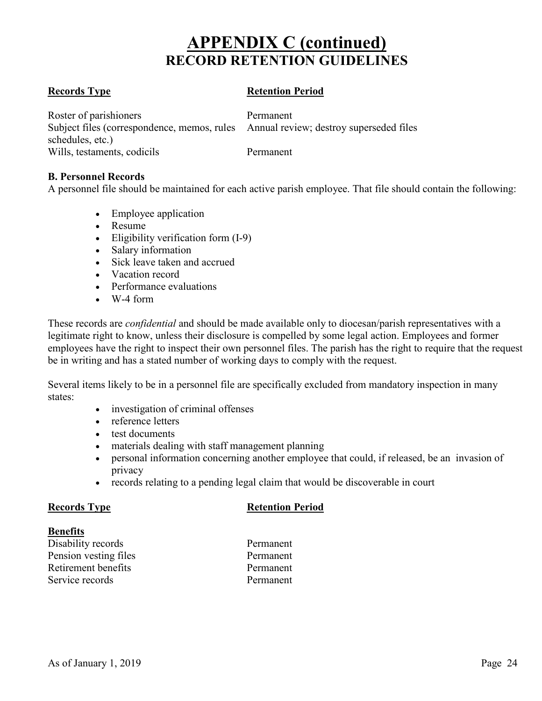#### **Records Type Retention Period**

Roster of parishioners Permanent Subject files (correspondence, memos, rules Annual review; destroy superseded files schedules, etc.) Wills, testaments, codicils Permanent

#### **B. Personnel Records**

A personnel file should be maintained for each active parish employee. That file should contain the following:

- Employee application
- Resume
- Eligibility verification form (I-9)
- Salary information
- Sick leave taken and accrued
- Vacation record
- Performance evaluations
- W-4 form

These records are *confidential* and should be made available only to diocesan/parish representatives with a legitimate right to know, unless their disclosure is compelled by some legal action. Employees and former employees have the right to inspect their own personnel files. The parish has the right to require that the request be in writing and has a stated number of working days to comply with the request.

Several items likely to be in a personnel file are specifically excluded from mandatory inspection in many states:

- investigation of criminal offenses
- reference letters
- test documents
- materials dealing with staff management planning
- personal information concerning another employee that could, if released, be an invasion of privacy
- records relating to a pending legal claim that would be discoverable in court

#### **Records Type Retention Period**

#### **Benefits**

| Disability records    |
|-----------------------|
| Pension vesting files |
| Retirement benefits   |
| Service records       |

Permanent Permanent Permanent Permanent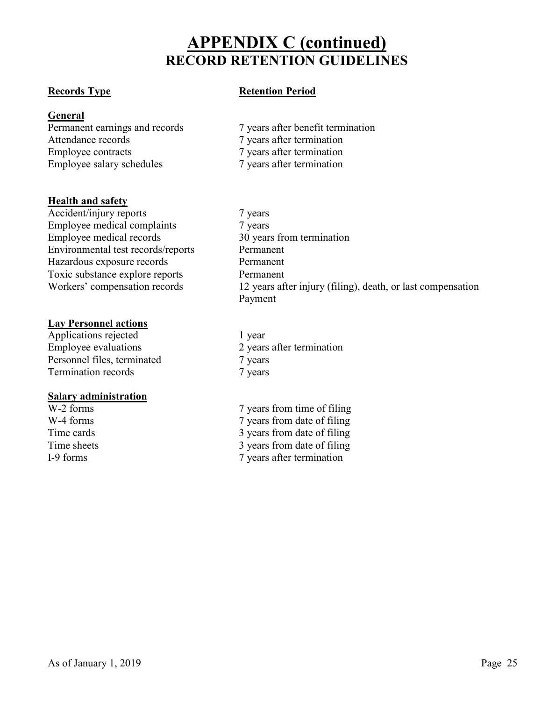**General**<br>Permanent earnings and records Employee contracts 7 years after termination Employee salary schedules 7 years after termination

#### **Health and safety**

Accident/injury reports 7 years Employee medical complaints 7 years Employee medical records 30 years from termination Environmental test records/reports Permanent Hazardous exposure records Permanent Toxic substance explore reports Permanent

#### **Lay Personnel actions**

Applications rejected 1 year Employee evaluations 2 years after termination Personnel files, terminated 7 years Termination records 7 years

#### **Salary administration**

#### **Records Type Retention Period**

- Permanent earnings and records 7 years after benefit termination<br>
7 years after termination<br>
7 years after termination 7 years after termination
- Workers' compensation records 12 years after injury (filing), death, or last compensation Payment
	-
- W-2 forms 7 years from time of filing<br>W-4 forms 7 years from date of filing 7 years from date of filing Time cards 3 years from date of filing Time sheets 3 years from date of filing I-9 forms 7 years after termination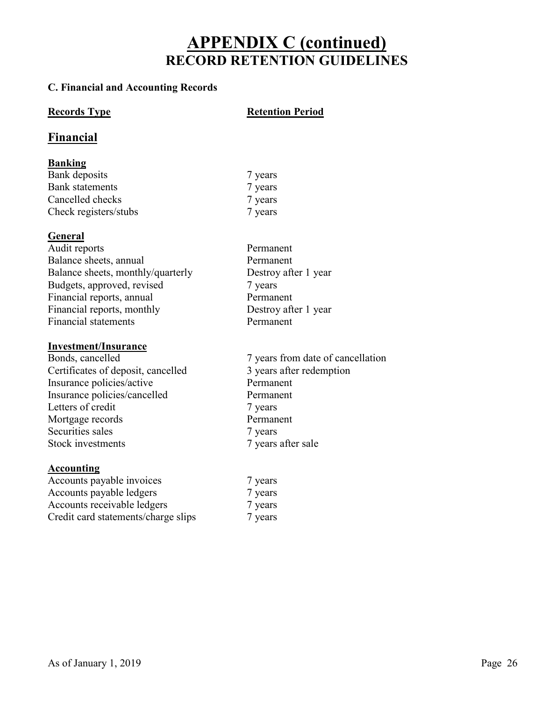#### **C. Financial and Accounting Records**

#### **Records Type Retention Period**

### **Financial**

#### **Banking**

Bank deposits 7 years 7 years Bank statements 7 years 7 years Cancelled checks 7 years Check registers/stubs 7 years

### **General**

Audit reports Permanent Balance sheets, annual Permanent Balance sheets, monthly/quarterly Destroy after 1 year Budgets, approved, revised 7 years Financial reports, annual Permanent Financial reports, monthly Destroy after 1 year Financial statements Permanent

#### **Investment/Insurance**

Certificates of deposit, cancelled 3 years after redemption Insurance policies/active Permanent Insurance policies/cancelled Permanent Letters of credit 7 years Mortgage records Permanent Securities sales 7 years 7 years Stock investments 7 years after sale

#### **Accounting**

Accounts payable invoices 7 years Accounts payable ledgers 7 years Accounts receivable ledgers 7 years Credit card statements/charge slips 7 years

- 
- Bonds, cancelled 7 years from date of cancellation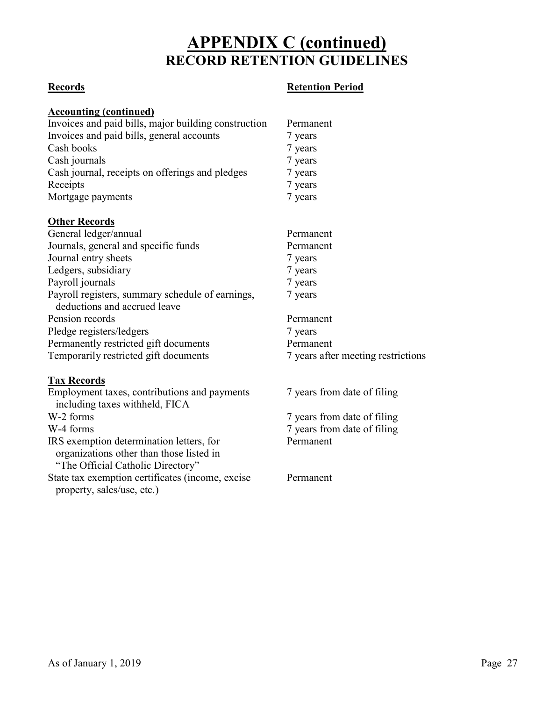### **Records Retention Period**

#### **Accounting (continued)**

| riccounting (continueu)                              |           |
|------------------------------------------------------|-----------|
| Invoices and paid bills, major building construction | Permanent |
| Invoices and paid bills, general accounts            | 7 years   |
| Cash books                                           | 7 years   |
| Cash journals                                        | 7 years   |
| Cash journal, receipts on offerings and pledges      | 7 years   |
| Receipts                                             | 7 years   |
| Mortgage payments                                    | 7 years   |

#### **Other Records**

| General ledger/annual                            | Permanent                          |
|--------------------------------------------------|------------------------------------|
| Journals, general and specific funds             | Permanent                          |
| Journal entry sheets                             | 7 years                            |
| Ledgers, subsidiary                              | 7 years                            |
| Payroll journals                                 | 7 years                            |
| Payroll registers, summary schedule of earnings, | 7 years                            |
| deductions and accrued leave                     |                                    |
| Pension records                                  | Permanent                          |
| Pledge registers/ledgers                         | 7 years                            |
| Permanently restricted gift documents            | Permanent                          |
| Temporarily restricted gift documents            | 7 years after meeting restrictions |

### **Tax Records**

| Employment taxes, contributions and payments     |  |
|--------------------------------------------------|--|
| including taxes withheld, FICA                   |  |
| W-2 forms                                        |  |
| W-4 forms                                        |  |
| IRS exemption determination letters, for         |  |
| organizations other than those listed in         |  |
| "The Official Catholic Directory"                |  |
| State tax exemption certificates (income, excise |  |
| property, sales/use, etc.)                       |  |
|                                                  |  |

7 years from date of filing

7 years from date of filing 7 years from date of filing Permanent

Permanent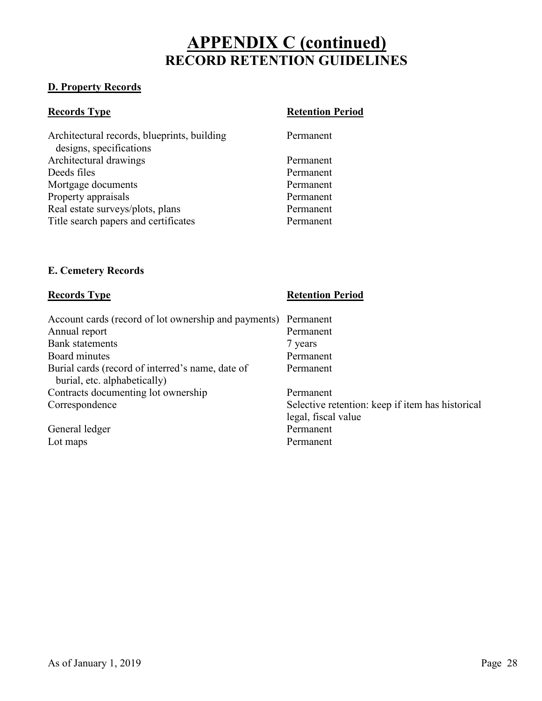#### **D. Property Records**

| <b>Records Type</b>                                                    | <b>Retention Period</b> |
|------------------------------------------------------------------------|-------------------------|
| Architectural records, blueprints, building<br>designs, specifications | Permanent               |
| Architectural drawings                                                 | Permanent               |
| Deeds files                                                            | Permanent               |
| Mortgage documents                                                     | Permanent               |
| Property appraisals                                                    | Permanent               |
| Real estate surveys/plots, plans                                       | Permanent               |
| Title search papers and certificates                                   | Permanent               |

#### **E. Cemetery Records**

| <b>Records Type</b>                                                              | <b>Retention Period</b>                          |
|----------------------------------------------------------------------------------|--------------------------------------------------|
| Account cards (record of lot ownership and payments)                             | Permanent                                        |
| Annual report                                                                    | Permanent                                        |
| <b>Bank</b> statements                                                           | 7 years                                          |
| Board minutes                                                                    | Permanent                                        |
| Burial cards (record of interred's name, date of<br>burial, etc. alphabetically) | Permanent                                        |
| Contracts documenting lot ownership                                              | Permanent                                        |
| Correspondence                                                                   | Selective retention: keep if item has historical |
|                                                                                  | legal, fiscal value                              |
| General ledger                                                                   | Permanent                                        |
| Lot maps                                                                         | Permanent                                        |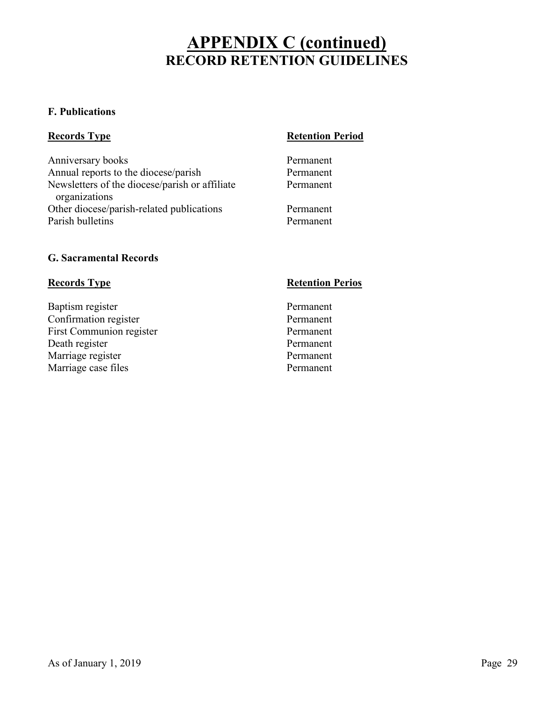#### **F. Publications**

Anniversary books Permanent Annual reports to the diocese/parish Permanent Newsletters of the diocese/parish or affiliate Permanent organizations Other diocese/parish-related publications Permanent Parish bulletins Permanent

### **Records Type Retention Period**

#### **G. Sacramental Records**

Baptism register Permanent Confirmation register Permanent First Communion register Permanent Death register Permanent Marriage register Permanent Marriage case files Permanent

### **Records Type Retention Perios**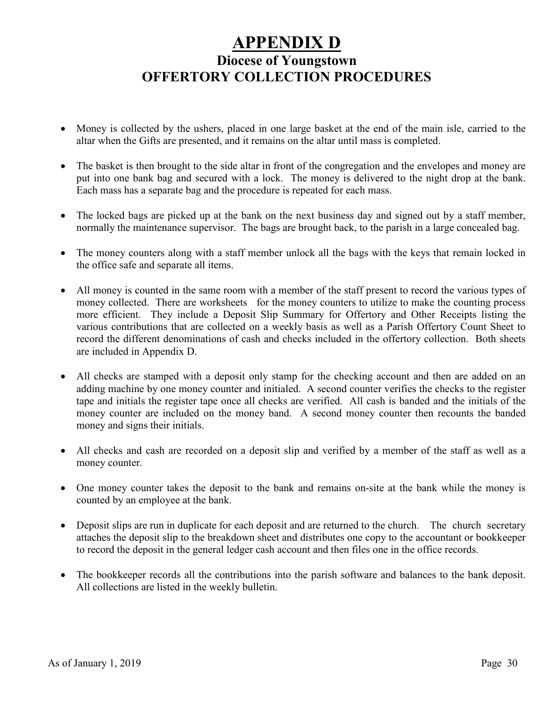## **APPENDIX D Diocese of Youngstown OFFERTORY COLLECTION PROCEDURES**

- Money is collected by the ushers, placed in one large basket at the end of the main isle, carried to the altar when the Gifts are presented, and it remains on the altar until mass is completed.
- The basket is then brought to the side altar in front of the congregation and the envelopes and money are put into one bank bag and secured with a lock. The money is delivered to the night drop at the bank. Each mass has a separate bag and the procedure is repeated for each mass.
- The locked bags are picked up at the bank on the next business day and signed out by a staff member, normally the maintenance supervisor. The bags are brought back, to the parish in a large concealed bag.
- The money counters along with a staff member unlock all the bags with the keys that remain locked in the office safe and separate all items.
- All money is counted in the same room with a member of the staff present to record the various types of money collected. There are worksheets for the money counters to utilize to make the counting process more efficient. They include a Deposit Slip Summary for Offertory and Other Receipts listing the various contributions that are collected on a weekly basis as well as a Parish Offertory Count Sheet to record the different denominations of cash and checks included in the offertory collection. Both sheets are included in Appendix D.
- All checks are stamped with a deposit only stamp for the checking account and then are added on an adding machine by one money counter and initialed. A second counter verifies the checks to the register tape and initials the register tape once all checks are verified. All cash is banded and the initials of the money counter are included on the money band. A second money counter then recounts the banded money and signs their initials.
- All checks and cash are recorded on a deposit slip and verified by a member of the staff as well as a money counter.
- One money counter takes the deposit to the bank and remains on-site at the bank while the money is counted by an employee at the bank.
- Deposit slips are run in duplicate for each deposit and are returned to the church. The church secretary attaches the deposit slip to the breakdown sheet and distributes one copy to the accountant or bookkeeper to record the deposit in the general ledger cash account and then files one in the office records.
- The bookkeeper records all the contributions into the parish software and balances to the bank deposit. All collections are listed in the weekly bulletin.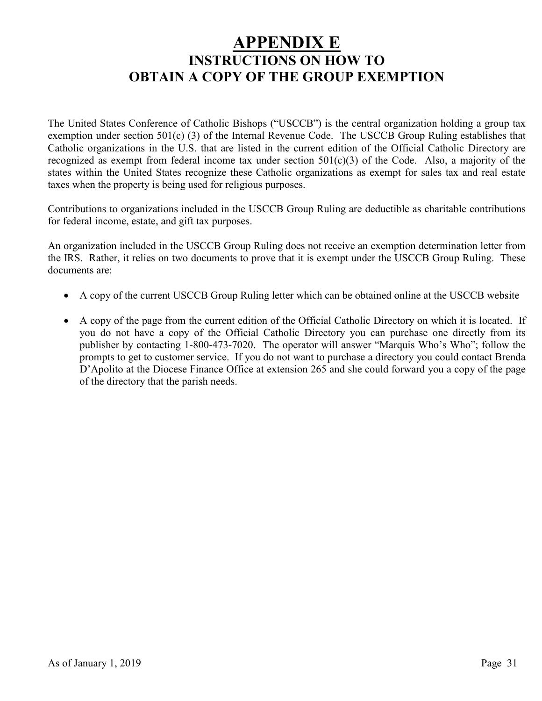## **APPENDIX E INSTRUCTIONS ON HOW TO OBTAIN A COPY OF THE GROUP EXEMPTION**

The United States Conference of Catholic Bishops ("USCCB") is the central organization holding a group tax exemption under section 501(c) (3) of the Internal Revenue Code. The USCCB Group Ruling establishes that Catholic organizations in the U.S. that are listed in the current edition of the Official Catholic Directory are recognized as exempt from federal income tax under section  $501(c)(3)$  of the Code. Also, a majority of the states within the United States recognize these Catholic organizations as exempt for sales tax and real estate taxes when the property is being used for religious purposes.

Contributions to organizations included in the USCCB Group Ruling are deductible as charitable contributions for federal income, estate, and gift tax purposes.

An organization included in the USCCB Group Ruling does not receive an exemption determination letter from the IRS. Rather, it relies on two documents to prove that it is exempt under the USCCB Group Ruling. These documents are:

- A copy of the current USCCB Group Ruling letter which can be obtained online at the USCCB website
- A copy of the page from the current edition of the Official Catholic Directory on which it is located. If you do not have a copy of the Official Catholic Directory you can purchase one directly from its publisher by contacting 1-800-473-7020. The operator will answer "Marquis Who's Who"; follow the prompts to get to customer service. If you do not want to purchase a directory you could contact Brenda D'Apolito at the Diocese Finance Office at extension 265 and she could forward you a copy of the page of the directory that the parish needs.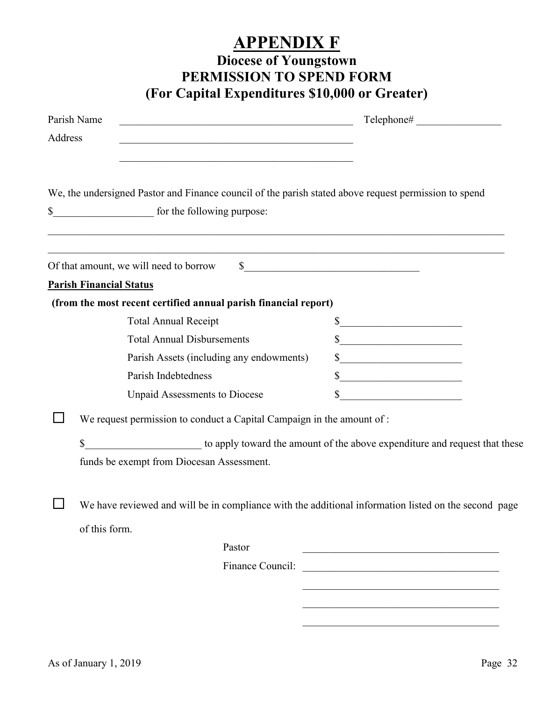## **APPENDIX F Diocese of Youngstown**

## **PERMISSION TO SPEND FORM (For Capital Expenditures \$10,000 or Greater)**

| Address | Parish Name<br><u> 1989 - Johann John Stein, mars an deus Amerikaansk kommunister (</u>                                                                                                                                                                      |                                                                                           |
|---------|--------------------------------------------------------------------------------------------------------------------------------------------------------------------------------------------------------------------------------------------------------------|-------------------------------------------------------------------------------------------|
| \$      | We, the undersigned Pastor and Finance council of the parish stated above request permission to spend<br>for the following purpose:<br><u> 1990 - Johann Barbert, mars and de la populación de la populación de la populación de la populación de la pop</u> |                                                                                           |
|         | Of that amount, we will need to borrow<br><b>Parish Financial Status</b>                                                                                                                                                                                     | $\sim$                                                                                    |
|         | (from the most recent certified annual parish financial report)                                                                                                                                                                                              |                                                                                           |
|         | <b>Total Annual Receipt</b>                                                                                                                                                                                                                                  | $\frac{\text{S}}{\text{S}}$                                                               |
|         | <b>Total Annual Disbursements</b>                                                                                                                                                                                                                            | s                                                                                         |
|         | Parish Assets (including any endowments)                                                                                                                                                                                                                     | s                                                                                         |
|         | Parish Indebtedness                                                                                                                                                                                                                                          | $\frac{1}{2}$                                                                             |
|         | <b>Unpaid Assessments to Diocese</b>                                                                                                                                                                                                                         | $\sim$                                                                                    |
|         | We request permission to conduct a Capital Campaign in the amount of :                                                                                                                                                                                       |                                                                                           |
|         | to apply toward the amount of the above expenditure and request that these<br>funds be exempt from Diocesan Assessment.                                                                                                                                      |                                                                                           |
| $\Box$  | We have reviewed and will be in compliance with the additional information listed on the second page                                                                                                                                                         |                                                                                           |
|         | of this form.<br>Pastor                                                                                                                                                                                                                                      |                                                                                           |
|         |                                                                                                                                                                                                                                                              | the control of the control of the control of the control of the control of the control of |
|         |                                                                                                                                                                                                                                                              |                                                                                           |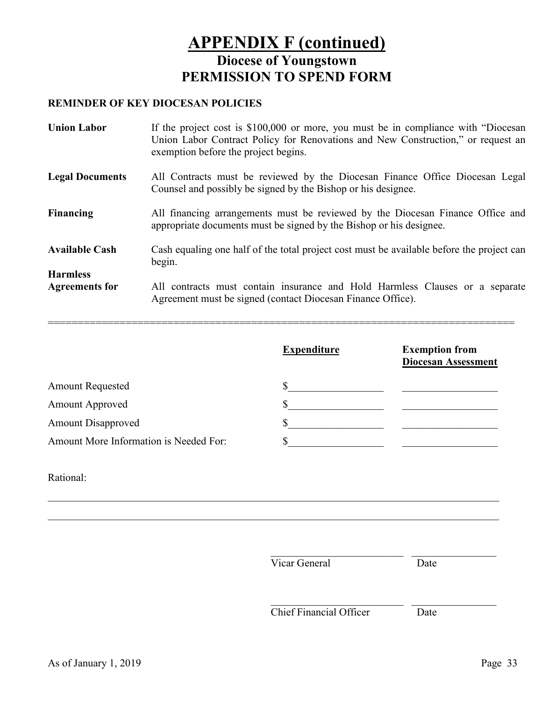## **APPENDIX F (continued) Diocese of Youngstown PERMISSION TO SPEND FORM**

### **REMINDER OF KEY DIOCESAN POLICIES**

| <b>Union Labor</b>                       | If the project cost is \$100,000 or more, you must be in compliance with "Diocesan"<br>Union Labor Contract Policy for Renovations and New Construction," or request an<br>exemption before the project begins. |
|------------------------------------------|-----------------------------------------------------------------------------------------------------------------------------------------------------------------------------------------------------------------|
| <b>Legal Documents</b>                   | All Contracts must be reviewed by the Diocesan Finance Office Diocesan Legal<br>Counsel and possibly be signed by the Bishop or his designee.                                                                   |
| <b>Financing</b>                         | All financing arrangements must be reviewed by the Diocesan Finance Office and<br>appropriate documents must be signed by the Bishop or his designee.                                                           |
| <b>Available Cash</b>                    | Cash equaling one half of the total project cost must be available before the project can<br>begin.                                                                                                             |
| <b>Harmless</b><br><b>Agreements for</b> | All contracts must contain insurance and Hold Harmless Clauses or a separate<br>Agreement must be signed (contact Diocesan Finance Office).                                                                     |

|                                        | <b>Expenditure</b> | <b>Exemption from</b><br><b>Diocesan Assessment</b> |
|----------------------------------------|--------------------|-----------------------------------------------------|
| <b>Amount Requested</b>                |                    |                                                     |
| <b>Amount Approved</b>                 |                    |                                                     |
| <b>Amount Disapproved</b>              |                    |                                                     |
| Amount More Information is Needed For: |                    |                                                     |

 $\_$  , and the set of the set of the set of the set of the set of the set of the set of the set of the set of the set of the set of the set of the set of the set of the set of the set of the set of the set of the set of th

 $\_$  , and the set of the set of the set of the set of the set of the set of the set of the set of the set of the set of the set of the set of the set of the set of the set of the set of the set of the set of the set of th

==============================================================================

Rational:

| Vicar General                  |
|--------------------------------|
| <b>Chief Financial Officer</b> |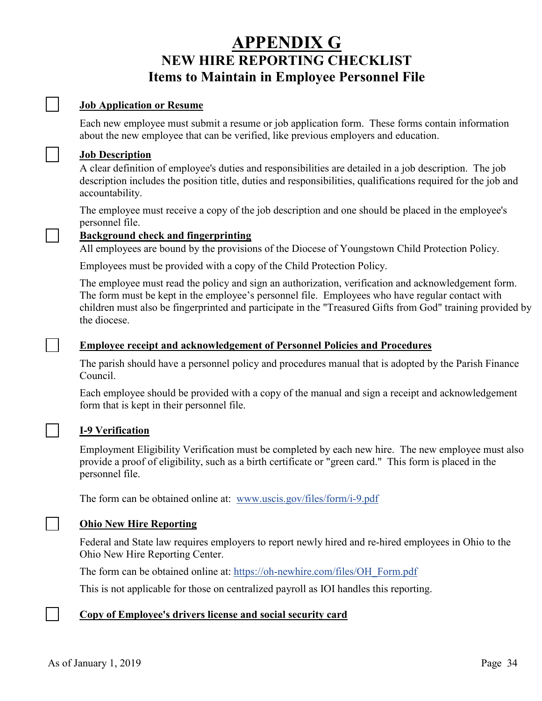## **APPENDIX G NEW HIRE REPORTING CHECKLIST Items to Maintain in Employee Personnel File**

#### **Job Application or Resume**

Each new employee must submit a resume or job application form. These forms contain information about the new employee that can be verified, like previous employers and education.

#### **Job Description**

A clear definition of employee's duties and responsibilities are detailed in a job description. The job description includes the position title, duties and responsibilities, qualifications required for the job and accountability.

The employee must receive a copy of the job description and one should be placed in the employee's personnel file.

#### **Background check and fingerprinting**

All employees are bound by the provisions of the Diocese of Youngstown Child Protection Policy.

Employees must be provided with a copy of the Child Protection Policy.

The employee must read the policy and sign an authorization, verification and acknowledgement form. The form must be kept in the employee's personnel file. Employees who have regular contact with children must also be fingerprinted and participate in the "Treasured Gifts from God" training provided by the diocese.

#### **Employee receipt and acknowledgement of Personnel Policies and Procedures**

The parish should have a personnel policy and procedures manual that is adopted by the Parish Finance Council.

Each employee should be provided with a copy of the manual and sign a receipt and acknowledgement form that is kept in their personnel file.

#### **I-9 Verification**

Employment Eligibility Verification must be completed by each new hire. The new employee must also provide a proof of eligibility, such as a birth certificate or "green card." This form is placed in the personnel file.

The form can be obtained online at: [www.uscis.gov/files/form/i-9.pdf](http://www.uscis.gov/files/form/i-9.pdf)

#### **Ohio New Hire Reporting**

Federal and State law requires employers to report newly hired and re-hired employees in Ohio to the Ohio New Hire Reporting Center.

The form can be obtained online at: [https://oh-newhire.com/files/OH\\_Form.pdf](https://oh-newhire.com/files/OH_Form.pdf) 

This is not applicable for those on centralized payroll as IOI handles this reporting.

#### **Copy of Employee's drivers license and social security card**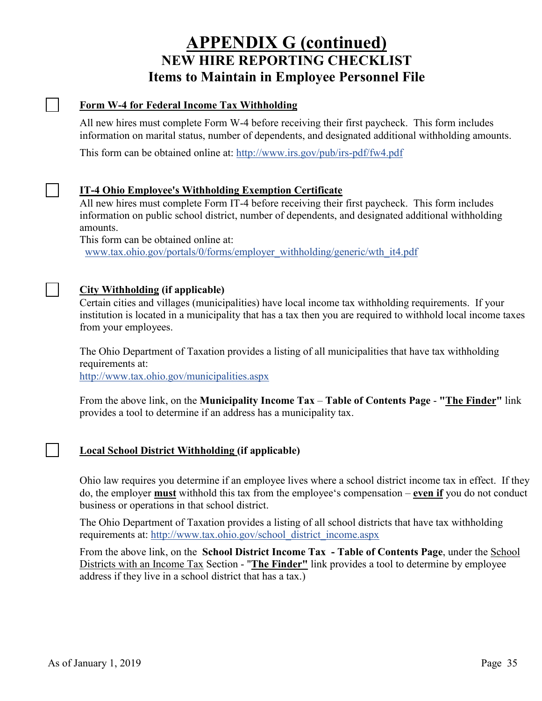## **APPENDIX G (continued) NEW HIRE REPORTING CHECKLIST Items to Maintain in Employee Personnel File**

#### **Form W-4 for Federal Income Tax Withholding**

 $\blacksquare$ 

 $\mathcal{L}$ 

All new hires must complete Form W-4 before receiving their first paycheck. This form includes information on marital status, number of dependents, and designated additional withholding amounts.

This form can be obtained online at: <http://www.irs.gov/pub/irs-pdf/fw4.pdf>

#### **IT-4 Ohio Employee's Withholding Exemption Certificate**

All new hires must complete Form IT-4 before receiving their first paycheck. This form includes information on public school district, number of dependents, and designated additional withholding amounts.

This form can be obtained online at:

[www.tax.ohio.gov/portals/0/forms/employer\\_withholding/generic/wth\\_it4.pdf](http://www.tax.ohio.gov/portals/0/forms/employer_withholding/generic/wth_it4.pdf)

#### **City Withholding (if applicable)**

Certain cities and villages (municipalities) have local income tax withholding requirements. If your institution is located in a municipality that has a tax then you are required to withhold local income taxes from your employees.

The Ohio Department of Taxation provides a listing of all municipalities that have tax withholding requirements at:

<http://www.tax.ohio.gov/municipalities.aspx>

From the above link, on the **Municipality Income Tax** – **Table of Contents Page** - **"The Finder"** link provides a tool to determine if an address has a municipality tax.

### **Local School District Withholding (if applicable)**

Ohio law requires you determine if an employee lives where a school district income tax in effect. If they do, the employer **must** withhold this tax from the employee's compensation – **even if** you do not conduct business or operations in that school district.

The Ohio Department of Taxation provides a listing of all school districts that have tax withholding requirements at: [http://www.tax.ohio.gov/school\\_district\\_income.aspx](http://www.tax.ohio.gov/school_district_income.aspx)

From the above link, on the **School District Income Tax - Table of Contents Page**, under the School Districts with an Income Tax Section - "**The Finder"** link provides a tool to determine by employee address if they live in a school district that has a tax.)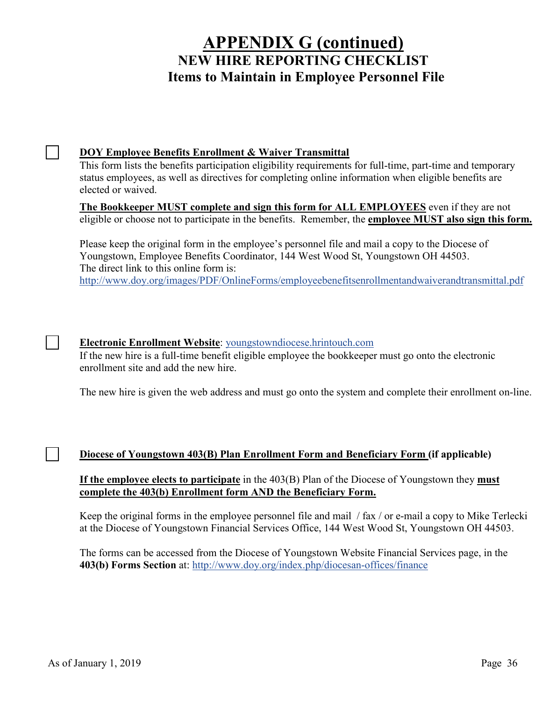## **APPENDIX G (continued) NEW HIRE REPORTING CHECKLIST Items to Maintain in Employee Personnel File**

#### **DOY Employee Benefits Enrollment & Waiver Transmittal**

This form lists the benefits participation eligibility requirements for full-time, part-time and temporary status employees, as well as directives for completing online information when eligible benefits are elected or waived.

**The Bookkeeper MUST complete and sign this form for ALL EMPLOYEES** even if they are not eligible or choose not to participate in the benefits. Remember, the **employee MUST also sign this form.**

Please keep the original form in the employee's personnel file and mail a copy to the Diocese of Youngstown, Employee Benefits Coordinator, 144 West Wood St, Youngstown OH 44503. The direct link to this online form is: <http://www.doy.org/images/PDF/OnlineForms/employeebenefitsenrollmentandwaiverandtransmittal.pdf>

### **Electronic Enrollment Website**: [youngstowndiocese.hrintouch.com](http://www.youngstowndiocese.hrintouch.com/)

If the new hire is a full-time benefit eligible employee the bookkeeper must go onto the electronic enrollment site and add the new hire.

The new hire is given the web address and must go onto the system and complete their enrollment on-line.

### **Diocese of Youngstown 403(B) Plan Enrollment Form and Beneficiary Form (if applicable)**

**If the employee elects to participate** in the 403(B) Plan of the Diocese of Youngstown they **must complete the 403(b) Enrollment form AND the Beneficiary Form.** 

Keep the original forms in the employee personnel file and mail / fax / or e-mail a copy to Mike Terlecki at the Diocese of Youngstown Financial Services Office, 144 West Wood St, Youngstown OH 44503.

The forms can be accessed from the Diocese of Youngstown Website Financial Services page, in the **403(b) Forms Section** at: <http://www.doy.org/index.php/diocesan-offices/finance>

 $\blacksquare$ 

 $\blacksquare$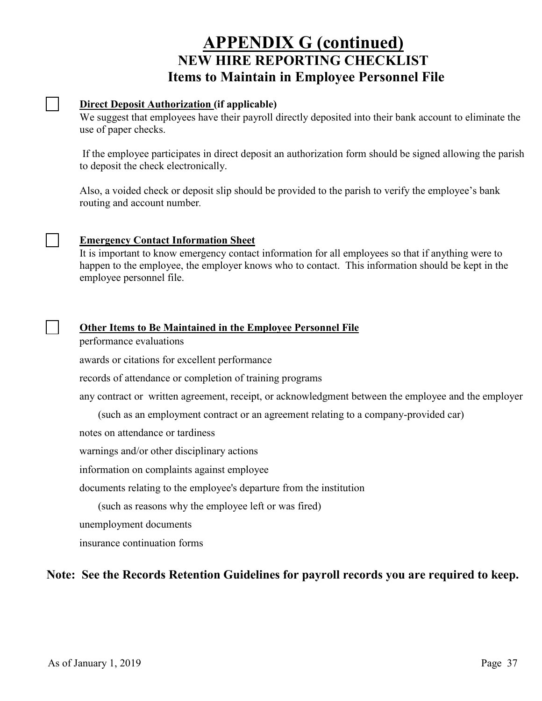## **APPENDIX G (continued) NEW HIRE REPORTING CHECKLIST Items to Maintain in Employee Personnel File**

#### **Direct Deposit Authorization (if applicable)**

 $\mathbb{R}$ 

 $\blacksquare$ 

We suggest that employees have their payroll directly deposited into their bank account to eliminate the use of paper checks.

If the employee participates in direct deposit an authorization form should be signed allowing the parish to deposit the check electronically.

Also, a voided check or deposit slip should be provided to the parish to verify the employee's bank routing and account number*.*

#### **Emergency Contact Information Sheet**

It is important to know emergency contact information for all employees so that if anything were to happen to the employee, the employer knows who to contact. This information should be kept in the employee personnel file.

#### **Other Items to Be Maintained in the Employee Personnel File**

performance evaluations

awards or citations for excellent performance

records of attendance or completion of training programs

any contract or written agreement, receipt, or acknowledgment between the employee and the employer

(such as an employment contract or an agreement relating to a company-provided car)

notes on attendance or tardiness

warnings and/or other disciplinary actions

information on complaints against employee

documents relating to the employee's departure from the institution

(such as reasons why the employee left or was fired)

unemployment documents

insurance continuation forms

### **Note: See the Records Retention Guidelines for payroll records you are required to keep.**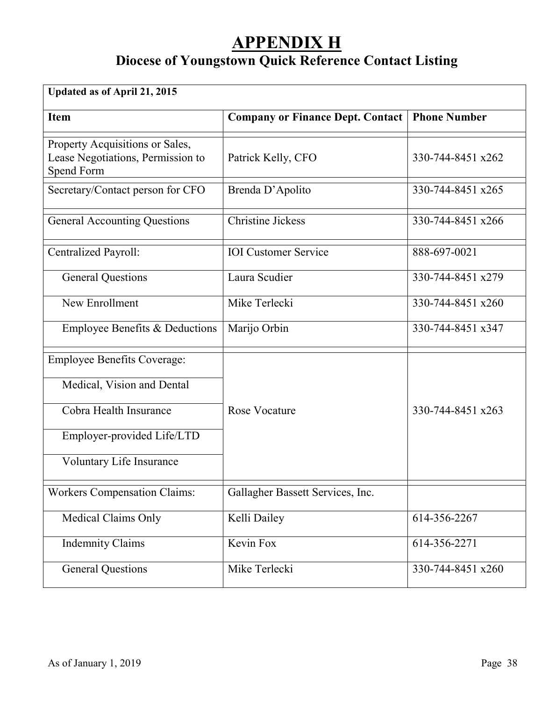## **APPENDIX H**

## **Diocese of Youngstown Quick Reference Contact Listing**

| Updated as of April 21, 2015                                                       |                                         |                     |
|------------------------------------------------------------------------------------|-----------------------------------------|---------------------|
| <b>Item</b>                                                                        | <b>Company or Finance Dept. Contact</b> | <b>Phone Number</b> |
| Property Acquisitions or Sales,<br>Lease Negotiations, Permission to<br>Spend Form | Patrick Kelly, CFO                      | 330-744-8451 x262   |
| Secretary/Contact person for CFO                                                   | Brenda D'Apolito                        | 330-744-8451 x265   |
| <b>General Accounting Questions</b>                                                | <b>Christine Jickess</b>                | 330-744-8451 x266   |
| Centralized Payroll:                                                               | <b>IOI</b> Customer Service             | 888-697-0021        |
| <b>General Questions</b>                                                           | Laura Scudier                           | 330-744-8451 x279   |
| New Enrollment                                                                     | Mike Terlecki                           | 330-744-8451 x260   |
| Employee Benefits & Deductions                                                     | Marijo Orbin                            | 330-744-8451 x347   |
| <b>Employee Benefits Coverage:</b>                                                 |                                         |                     |
| Medical, Vision and Dental                                                         |                                         |                     |
| Cobra Health Insurance                                                             | Rose Vocature                           | 330-744-8451 x263   |
| Employer-provided Life/LTD                                                         |                                         |                     |
| Voluntary Life Insurance                                                           |                                         |                     |
| <b>Workers Compensation Claims:</b>                                                | Gallagher Bassett Services, Inc.        |                     |
| Medical Claims Only                                                                | Kelli Dailey                            | 614-356-2267        |
| <b>Indemnity Claims</b>                                                            | Kevin Fox                               | 614-356-2271        |
| <b>General Questions</b>                                                           | Mike Terlecki                           | 330-744-8451 x260   |